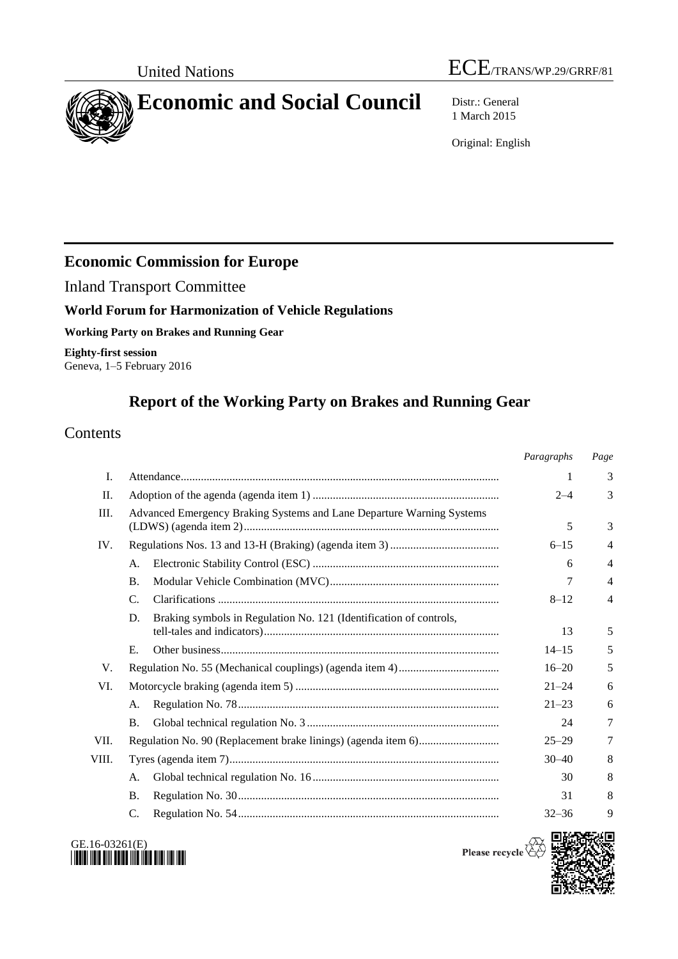# United Nations  $\text{ECE}_{\text{TRANS/WP.29/GRRF/81}}$



1 March 2015

Original: English

# **Economic Commission for Europe**

Inland Transport Committee

## **World Forum for Harmonization of Vehicle Regulations**

**Working Party on Brakes and Running Gear**

**Eighty-first session** Geneva, 1–5 February 2016

# **Report of the Working Party on Brakes and Running Gear**

# **Contents**

|       |                                                                          | Paragraphs | Page           |
|-------|--------------------------------------------------------------------------|------------|----------------|
| Ι.    |                                                                          | 1          | 3              |
| Π.    |                                                                          | $2 - 4$    | 3              |
| Ш.    | Advanced Emergency Braking Systems and Lane Departure Warning Systems    | 5          | 3              |
| IV.   |                                                                          | $6 - 15$   | 4              |
|       | А.                                                                       | 6          | 4              |
|       | <b>B.</b>                                                                | 7          | 4              |
|       | $\mathcal{C}$ .                                                          | $8 - 12$   | $\overline{4}$ |
|       | Braking symbols in Regulation No. 121 (Identification of controls,<br>D. | 13         | 5              |
|       | Е.                                                                       | $14 - 15$  | 5              |
| V.    |                                                                          | $16 - 20$  | 5              |
| VI.   |                                                                          | $21 - 24$  | 6              |
|       | А.                                                                       | $21 - 23$  | 6              |
|       | <b>B.</b>                                                                | 24         | 7              |
| VII.  |                                                                          | $25 - 29$  | 7              |
| VIII. |                                                                          | $30 - 40$  | 8              |
|       | А.                                                                       | 30         | 8              |
|       | <b>B.</b>                                                                | 31         | 8              |
|       | C.                                                                       | $32 - 36$  | 9              |



Please recycle  $\overleftrightarrow{c}$ 

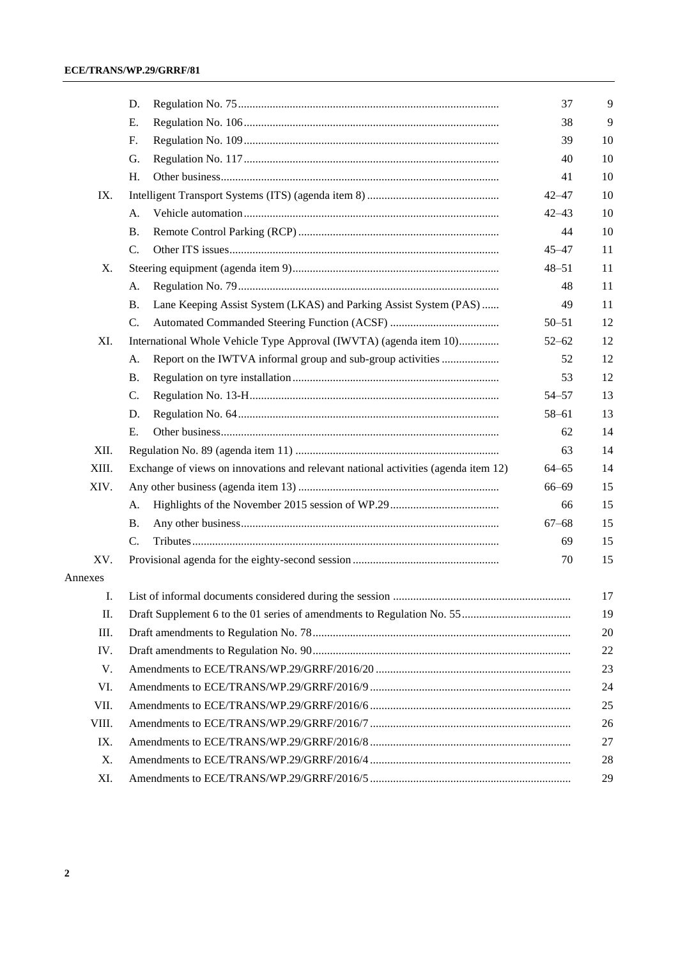|         | D.                                                                                 | 37        | 9  |  |  |
|---------|------------------------------------------------------------------------------------|-----------|----|--|--|
|         | Е.                                                                                 | 38        | 9  |  |  |
|         | F.                                                                                 | 39        | 10 |  |  |
|         | G.                                                                                 | 40        | 10 |  |  |
|         | H.                                                                                 | 41        | 10 |  |  |
| IX.     |                                                                                    | $42 - 47$ | 10 |  |  |
|         | А.                                                                                 | $42 - 43$ | 10 |  |  |
|         | Β.                                                                                 | 44        | 10 |  |  |
|         | C.                                                                                 | $45 - 47$ | 11 |  |  |
| Х.      |                                                                                    | $48 - 51$ | 11 |  |  |
|         | A.                                                                                 | 48        | 11 |  |  |
|         | Lane Keeping Assist System (LKAS) and Parking Assist System (PAS)<br>Β.            | 49        | 11 |  |  |
|         | $\mathcal{C}$ .                                                                    | $50 - 51$ | 12 |  |  |
| XI.     | International Whole Vehicle Type Approval (IWVTA) (agenda item 10)                 | $52 - 62$ | 12 |  |  |
|         | Report on the IWTVA informal group and sub-group activities<br>А.                  | 52        | 12 |  |  |
|         | <b>B.</b>                                                                          | 53        | 12 |  |  |
|         | C.                                                                                 | $54 - 57$ | 13 |  |  |
|         | D.                                                                                 | $58 - 61$ | 13 |  |  |
|         | E.                                                                                 | 62        | 14 |  |  |
| XII.    |                                                                                    | 63        | 14 |  |  |
| XIII.   | Exchange of views on innovations and relevant national activities (agenda item 12) | $64 - 65$ | 14 |  |  |
| XIV.    |                                                                                    | $66 - 69$ | 15 |  |  |
|         | A.                                                                                 | 66        | 15 |  |  |
|         | Β.                                                                                 | $67 - 68$ | 15 |  |  |
|         | C.                                                                                 | 69        | 15 |  |  |
| XV.     |                                                                                    | 70        | 15 |  |  |
| Annexes |                                                                                    |           |    |  |  |
| Ι.      |                                                                                    |           | 17 |  |  |
| П.      | 19                                                                                 |           |    |  |  |
| Ш.      | 20                                                                                 |           |    |  |  |
| IV.     | 22                                                                                 |           |    |  |  |
| V.      | 23                                                                                 |           |    |  |  |
| VI.     | 24                                                                                 |           |    |  |  |
| VII.    | 25                                                                                 |           |    |  |  |
| VIII.   | 26                                                                                 |           |    |  |  |
| IX.     | 27                                                                                 |           |    |  |  |
| X.      |                                                                                    |           | 28 |  |  |
| XI.     |                                                                                    |           | 29 |  |  |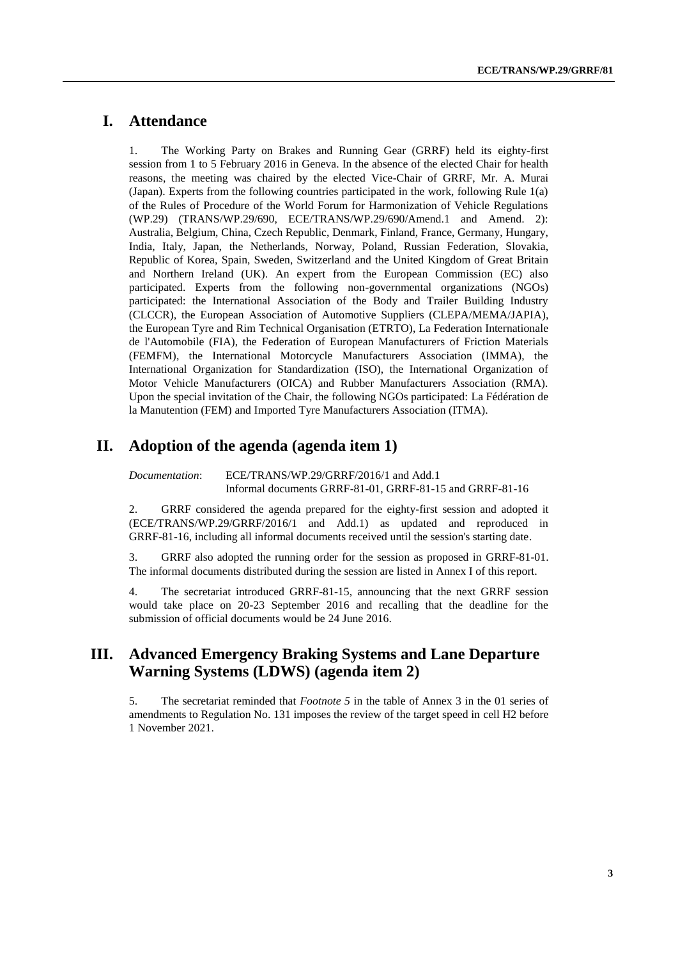## **I. Attendance**

1. The Working Party on Brakes and Running Gear (GRRF) held its eighty-first session from 1 to 5 February 2016 in Geneva. In the absence of the elected Chair for health reasons, the meeting was chaired by the elected Vice-Chair of GRRF, Mr. A. Murai (Japan). Experts from the following countries participated in the work, following Rule 1(a) of the Rules of Procedure of the World Forum for Harmonization of Vehicle Regulations (WP.29) (TRANS/WP.29/690, ECE/TRANS/WP.29/690/Amend.1 and Amend. 2): Australia, Belgium, China, Czech Republic, Denmark, Finland, France, Germany, Hungary, India, Italy, Japan, the Netherlands, Norway, Poland, Russian Federation, Slovakia, Republic of Korea, Spain, Sweden, Switzerland and the United Kingdom of Great Britain and Northern Ireland (UK). An expert from the European Commission (EC) also participated. Experts from the following non-governmental organizations (NGOs) participated: the International Association of the Body and Trailer Building Industry (CLCCR), the European Association of Automotive Suppliers (CLEPA/MEMA/JAPIA), the European Tyre and Rim Technical Organisation (ETRTO), La Federation Internationale de l'Automobile (FIA), the Federation of European Manufacturers of Friction Materials (FEMFM), the International Motorcycle Manufacturers Association (IMMA), the International Organization for Standardization (ISO), the International Organization of Motor Vehicle Manufacturers (OICA) and Rubber Manufacturers Association (RMA). Upon the special invitation of the Chair, the following NGOs participated: La Fédération de la Manutention (FEM) and Imported Tyre Manufacturers Association (ITMA).

## **II. Adoption of the agenda (agenda item 1)**

*Documentation*: ECE/TRANS/WP.29/GRRF/2016/1 and Add.1 Informal documents GRRF-81-01, GRRF-81-15 and GRRF-81-16

2. GRRF considered the agenda prepared for the eighty-first session and adopted it (ECE/TRANS/WP.29/GRRF/2016/1 and Add.1) as updated and reproduced in GRRF-81-16, including all informal documents received until the session's starting date.

3. GRRF also adopted the running order for the session as proposed in GRRF-81-01. The informal documents distributed during the session are listed in Annex I of this report.

4. The secretariat introduced GRRF-81-15, announcing that the next GRRF session would take place on 20-23 September 2016 and recalling that the deadline for the submission of official documents would be 24 June 2016.

## **III. Advanced Emergency Braking Systems and Lane Departure Warning Systems (LDWS) (agenda item 2)**

5. The secretariat reminded that *Footnote 5* in the table of Annex 3 in the 01 series of amendments to Regulation No. 131 imposes the review of the target speed in cell H2 before 1 November 2021.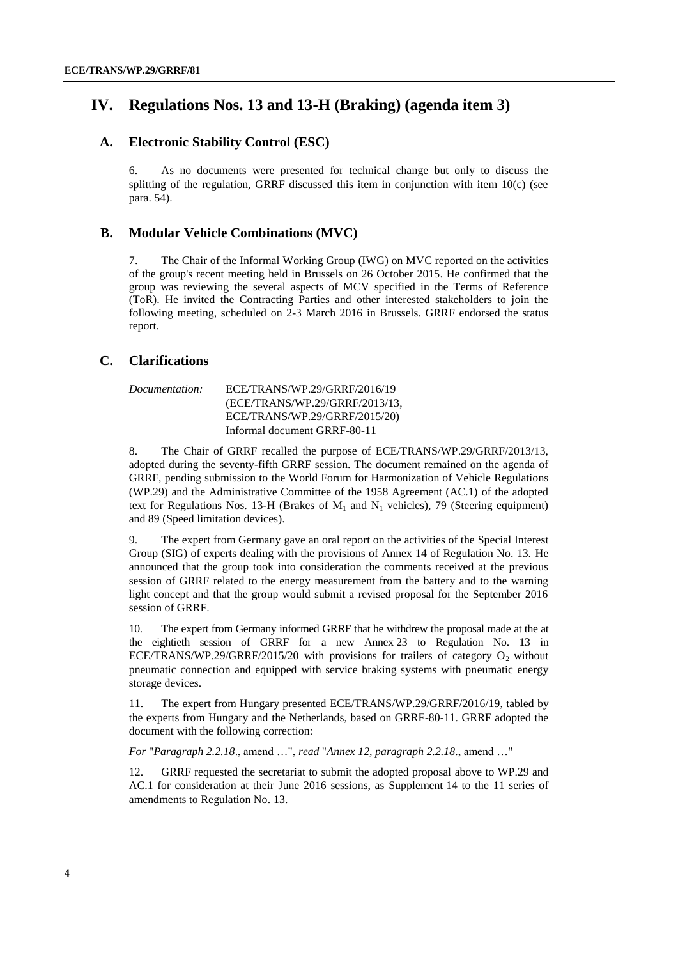## **IV. Regulations Nos. 13 and 13-H (Braking) (agenda item 3)**

#### **A. Electronic Stability Control (ESC)**

6. As no documents were presented for technical change but only to discuss the splitting of the regulation, GRRF discussed this item in conjunction with item 10(c) (see para. 54).

#### **B. Modular Vehicle Combinations (MVC)**

7. The Chair of the Informal Working Group (IWG) on MVC reported on the activities of the group's recent meeting held in Brussels on 26 October 2015. He confirmed that the group was reviewing the several aspects of MCV specified in the Terms of Reference (ToR). He invited the Contracting Parties and other interested stakeholders to join the following meeting, scheduled on 2-3 March 2016 in Brussels. GRRF endorsed the status report.

#### **C. Clarifications**

| <i>Documentation:</i> | ECE/TRANS/WP.29/GRRF/2016/19   |
|-----------------------|--------------------------------|
|                       | (ECE/TRANS/WP.29/GRRF/2013/13, |
|                       | ECE/TRANS/WP.29/GRRF/2015/20)  |
|                       | Informal document GRRF-80-11   |

8. The Chair of GRRF recalled the purpose of ECE/TRANS/WP.29/GRRF/2013/13, adopted during the seventy-fifth GRRF session. The document remained on the agenda of GRRF, pending submission to the World Forum for Harmonization of Vehicle Regulations (WP.29) and the Administrative Committee of the 1958 Agreement (AC.1) of the adopted text for Regulations Nos. 13-H (Brakes of  $M_1$  and  $N_1$  vehicles), 79 (Steering equipment) and 89 (Speed limitation devices).

9. The expert from Germany gave an oral report on the activities of the Special Interest Group (SIG) of experts dealing with the provisions of Annex 14 of Regulation No. 13. He announced that the group took into consideration the comments received at the previous session of GRRF related to the energy measurement from the battery and to the warning light concept and that the group would submit a revised proposal for the September 2016 session of GRRF.

10. The expert from Germany informed GRRF that he withdrew the proposal made at the at the eightieth session of GRRF for a new Annex 23 to Regulation No. 13 in ECE/TRANS/WP.29/GRRF/2015/20 with provisions for trailers of category  $O_2$  without pneumatic connection and equipped with service braking systems with pneumatic energy storage devices.

11. The expert from Hungary presented ECE/TRANS/WP.29/GRRF/2016/19, tabled by the experts from Hungary and the Netherlands, based on GRRF-80-11. GRRF adopted the document with the following correction:

*For* "*Paragraph 2.2.18*., amend …", *read* "*Annex 12, paragraph 2.2.18*., amend …"

12. GRRF requested the secretariat to submit the adopted proposal above to WP.29 and AC.1 for consideration at their June 2016 sessions, as Supplement 14 to the 11 series of amendments to Regulation No. 13.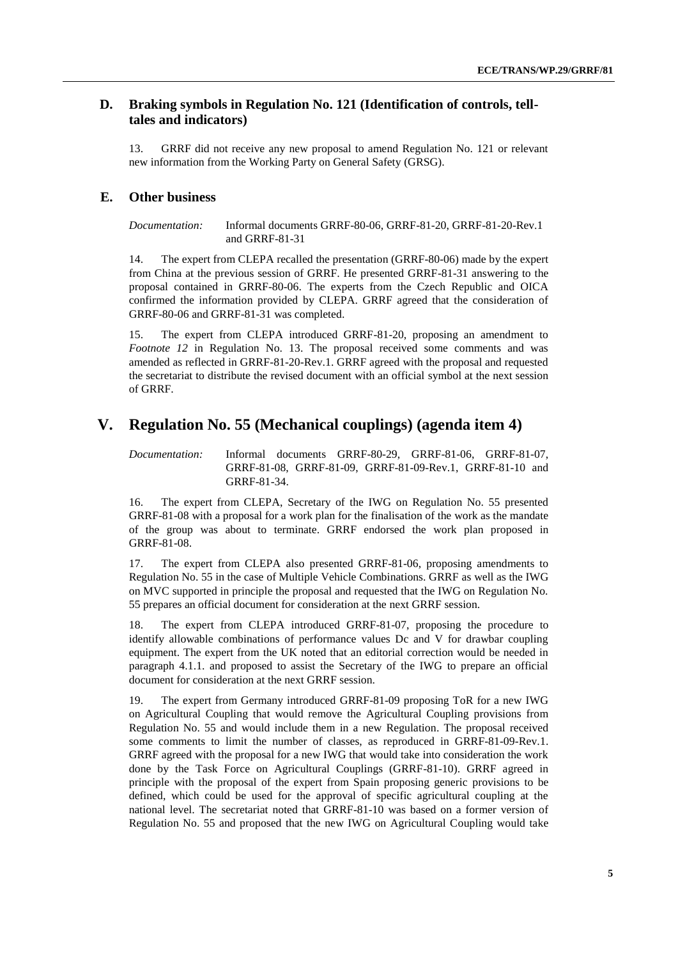#### **D. Braking symbols in Regulation No. 121 (Identification of controls, telltales and indicators)**

13. GRRF did not receive any new proposal to amend Regulation No. 121 or relevant new information from the Working Party on General Safety (GRSG).

#### **E. Other business**

*Documentation:* Informal documents GRRF-80-06, GRRF-81-20, GRRF-81-20-Rev.1 and GRRF-81-31

14. The expert from CLEPA recalled the presentation (GRRF-80-06) made by the expert from China at the previous session of GRRF. He presented GRRF-81-31 answering to the proposal contained in GRRF-80-06. The experts from the Czech Republic and OICA confirmed the information provided by CLEPA. GRRF agreed that the consideration of GRRF-80-06 and GRRF-81-31 was completed.

15. The expert from CLEPA introduced GRRF-81-20, proposing an amendment to *Footnote 12* in Regulation No. 13. The proposal received some comments and was amended as reflected in GRRF-81-20-Rev.1. GRRF agreed with the proposal and requested the secretariat to distribute the revised document with an official symbol at the next session of GRRF.

## **V. Regulation No. 55 (Mechanical couplings) (agenda item 4)**

*Documentation:* Informal documents GRRF-80-29, GRRF-81-06, GRRF-81-07, GRRF-81-08, GRRF-81-09, GRRF-81-09-Rev.1, GRRF-81-10 and GRRF-81-34.

16. The expert from CLEPA, Secretary of the IWG on Regulation No. 55 presented GRRF-81-08 with a proposal for a work plan for the finalisation of the work as the mandate of the group was about to terminate. GRRF endorsed the work plan proposed in GRRF-81-08.

17. The expert from CLEPA also presented GRRF-81-06, proposing amendments to Regulation No. 55 in the case of Multiple Vehicle Combinations. GRRF as well as the IWG on MVC supported in principle the proposal and requested that the IWG on Regulation No. 55 prepares an official document for consideration at the next GRRF session.

18. The expert from CLEPA introduced GRRF-81-07, proposing the procedure to identify allowable combinations of performance values Dc and V for drawbar coupling equipment. The expert from the UK noted that an editorial correction would be needed in paragraph 4.1.1. and proposed to assist the Secretary of the IWG to prepare an official document for consideration at the next GRRF session.

19. The expert from Germany introduced GRRF-81-09 proposing ToR for a new IWG on Agricultural Coupling that would remove the Agricultural Coupling provisions from Regulation No. 55 and would include them in a new Regulation. The proposal received some comments to limit the number of classes, as reproduced in GRRF-81-09-Rev.1. GRRF agreed with the proposal for a new IWG that would take into consideration the work done by the Task Force on Agricultural Couplings (GRRF-81-10). GRRF agreed in principle with the proposal of the expert from Spain proposing generic provisions to be defined, which could be used for the approval of specific agricultural coupling at the national level. The secretariat noted that GRRF-81-10 was based on a former version of Regulation No. 55 and proposed that the new IWG on Agricultural Coupling would take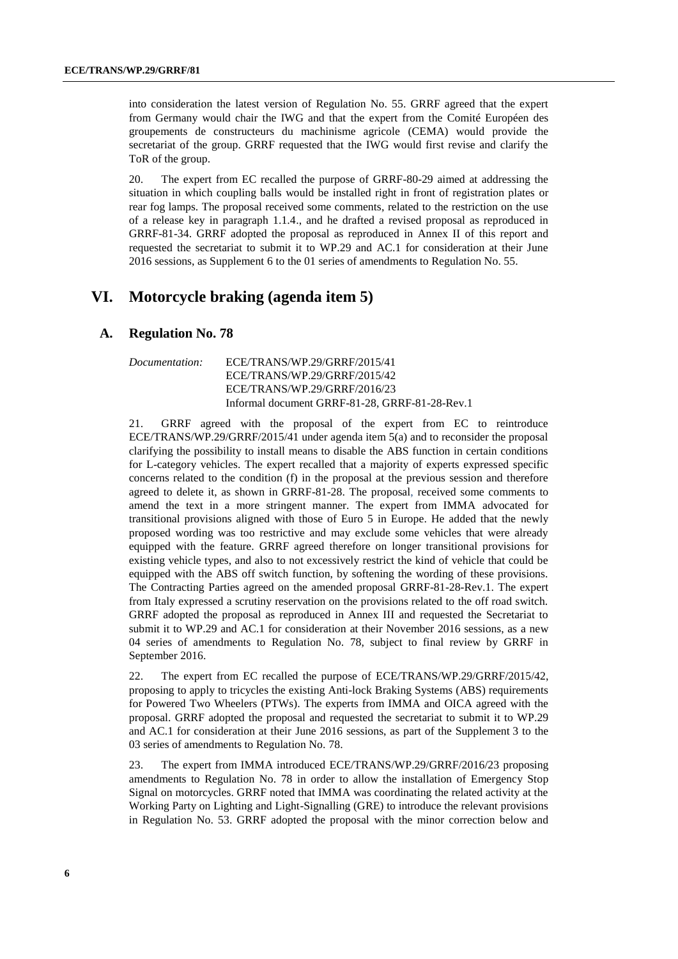into consideration the latest version of Regulation No. 55. GRRF agreed that the expert from Germany would chair the IWG and that the expert from the Comité Européen des groupements de constructeurs du machinisme agricole (CEMA) would provide the secretariat of the group. GRRF requested that the IWG would first revise and clarify the ToR of the group.

20. The expert from EC recalled the purpose of GRRF-80-29 aimed at addressing the situation in which coupling balls would be installed right in front of registration plates or rear fog lamps. The proposal received some comments, related to the restriction on the use of a release key in paragraph 1.1.4., and he drafted a revised proposal as reproduced in GRRF-81-34. GRRF adopted the proposal as reproduced in Annex II of this report and requested the secretariat to submit it to WP.29 and AC.1 for consideration at their June 2016 sessions, as Supplement 6 to the 01 series of amendments to Regulation No. 55.

## **VI. Motorcycle braking (agenda item 5)**

#### **A. Regulation No. 78**

| Documentation: | ECE/TRANS/WP.29/GRRF/2015/41                   |
|----------------|------------------------------------------------|
|                | ECE/TRANS/WP.29/GRRF/2015/42                   |
|                | ECE/TRANS/WP.29/GRRF/2016/23                   |
|                | Informal document GRRF-81-28, GRRF-81-28-Rev.1 |

21. GRRF agreed with the proposal of the expert from EC to reintroduce ECE/TRANS/WP.29/GRRF/2015/41 under agenda item 5(a) and to reconsider the proposal clarifying the possibility to install means to disable the ABS function in certain conditions for L-category vehicles. The expert recalled that a majority of experts expressed specific concerns related to the condition (f) in the proposal at the previous session and therefore agreed to delete it, as shown in GRRF-81-28. The proposal, received some comments to amend the text in a more stringent manner. The expert from IMMA advocated for transitional provisions aligned with those of Euro 5 in Europe. He added that the newly proposed wording was too restrictive and may exclude some vehicles that were already equipped with the feature. GRRF agreed therefore on longer transitional provisions for existing vehicle types, and also to not excessively restrict the kind of vehicle that could be equipped with the ABS off switch function, by softening the wording of these provisions. The Contracting Parties agreed on the amended proposal GRRF-81-28-Rev.1. The expert from Italy expressed a scrutiny reservation on the provisions related to the off road switch. GRRF adopted the proposal as reproduced in Annex III and requested the Secretariat to submit it to WP.29 and AC.1 for consideration at their November 2016 sessions, as a new 04 series of amendments to Regulation No. 78, subject to final review by GRRF in September 2016.

22. The expert from EC recalled the purpose of ECE/TRANS/WP.29/GRRF/2015/42, proposing to apply to tricycles the existing Anti-lock Braking Systems (ABS) requirements for Powered Two Wheelers (PTWs). The experts from IMMA and OICA agreed with the proposal. GRRF adopted the proposal and requested the secretariat to submit it to WP.29 and AC.1 for consideration at their June 2016 sessions, as part of the Supplement 3 to the 03 series of amendments to Regulation No. 78.

23. The expert from IMMA introduced ECE/TRANS/WP.29/GRRF/2016/23 proposing amendments to Regulation No. 78 in order to allow the installation of Emergency Stop Signal on motorcycles. GRRF noted that IMMA was coordinating the related activity at the Working Party on Lighting and Light-Signalling (GRE) to introduce the relevant provisions in Regulation No. 53. GRRF adopted the proposal with the minor correction below and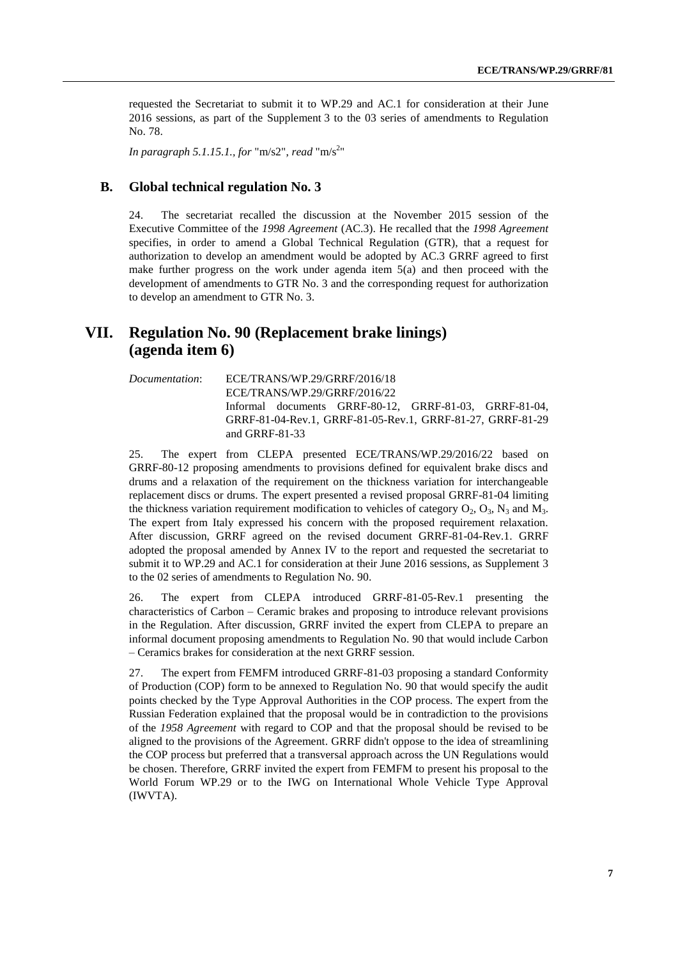requested the Secretariat to submit it to WP.29 and AC.1 for consideration at their June 2016 sessions, as part of the Supplement 3 to the 03 series of amendments to Regulation No. 78.

*In paragraph 5.1.15.1., for* "m/s2", *read* "m/s<sup>2</sup> "

#### **B. Global technical regulation No. 3**

24. The secretariat recalled the discussion at the November 2015 session of the Executive Committee of the *1998 Agreement* (AC.3). He recalled that the *1998 Agreement* specifies, in order to amend a Global Technical Regulation (GTR), that a request for authorization to develop an amendment would be adopted by AC.3 GRRF agreed to first make further progress on the work under agenda item 5(a) and then proceed with the development of amendments to GTR No. 3 and the corresponding request for authorization to develop an amendment to GTR No. 3.

## **VII. Regulation No. 90 (Replacement brake linings) (agenda item 6)**

*Documentation*: ECE/TRANS/WP.29/GRRF/2016/18 ECE/TRANS/WP.29/GRRF/2016/22 Informal documents GRRF-80-12, GRRF-81-03, GRRF-81-04, GRRF-81-04-Rev.1, GRRF-81-05-Rev.1, GRRF-81-27, GRRF-81-29 and GRRF-81-33

25. The expert from CLEPA presented ECE/TRANS/WP.29/2016/22 based on GRRF-80-12 proposing amendments to provisions defined for equivalent brake discs and drums and a relaxation of the requirement on the thickness variation for interchangeable replacement discs or drums. The expert presented a revised proposal GRRF-81-04 limiting the thickness variation requirement modification to vehicles of category  $O_2$ ,  $O_3$ ,  $N_3$  and  $M_3$ . The expert from Italy expressed his concern with the proposed requirement relaxation. After discussion, GRRF agreed on the revised document GRRF-81-04-Rev.1. GRRF adopted the proposal amended by Annex IV to the report and requested the secretariat to submit it to WP.29 and AC.1 for consideration at their June 2016 sessions, as Supplement 3 to the 02 series of amendments to Regulation No. 90.

26. The expert from CLEPA introduced GRRF-81-05-Rev.1 presenting the characteristics of Carbon – Ceramic brakes and proposing to introduce relevant provisions in the Regulation. After discussion, GRRF invited the expert from CLEPA to prepare an informal document proposing amendments to Regulation No. 90 that would include Carbon – Ceramics brakes for consideration at the next GRRF session.

27. The expert from FEMFM introduced GRRF-81-03 proposing a standard Conformity of Production (COP) form to be annexed to Regulation No. 90 that would specify the audit points checked by the Type Approval Authorities in the COP process. The expert from the Russian Federation explained that the proposal would be in contradiction to the provisions of the *1958 Agreement* with regard to COP and that the proposal should be revised to be aligned to the provisions of the Agreement. GRRF didn't oppose to the idea of streamlining the COP process but preferred that a transversal approach across the UN Regulations would be chosen. Therefore, GRRF invited the expert from FEMFM to present his proposal to the World Forum WP.29 or to the IWG on International Whole Vehicle Type Approval (IWVTA).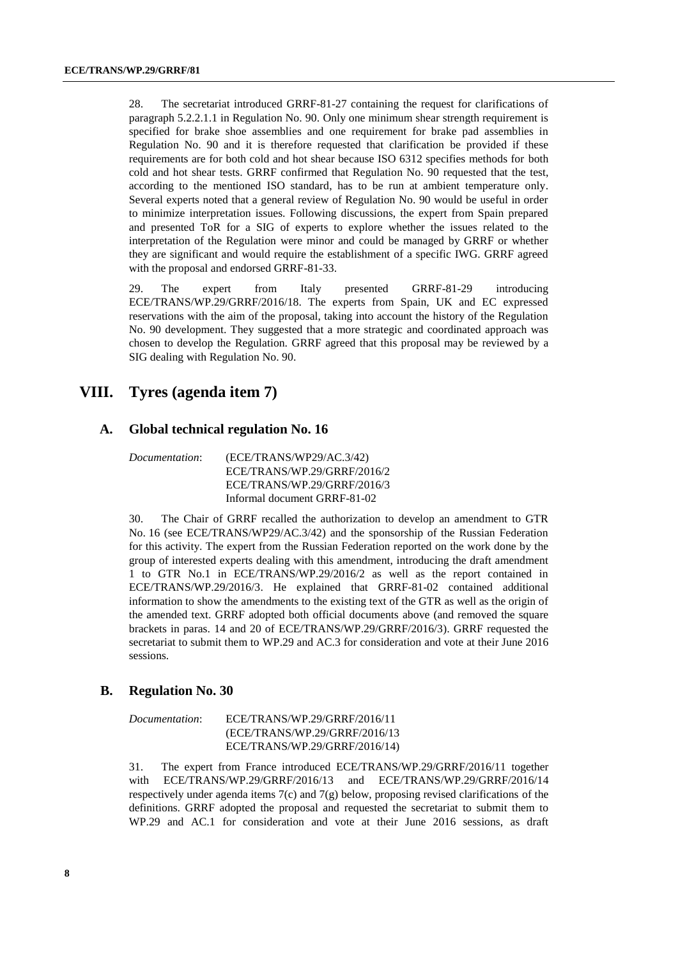28. The secretariat introduced GRRF-81-27 containing the request for clarifications of paragraph 5.2.2.1.1 in Regulation No. 90. Only one minimum shear strength requirement is specified for brake shoe assemblies and one requirement for brake pad assemblies in Regulation No. 90 and it is therefore requested that clarification be provided if these requirements are for both cold and hot shear because ISO 6312 specifies methods for both cold and hot shear tests. GRRF confirmed that Regulation No. 90 requested that the test, according to the mentioned ISO standard, has to be run at ambient temperature only. Several experts noted that a general review of Regulation No. 90 would be useful in order to minimize interpretation issues. Following discussions, the expert from Spain prepared and presented ToR for a SIG of experts to explore whether the issues related to the interpretation of the Regulation were minor and could be managed by GRRF or whether they are significant and would require the establishment of a specific IWG. GRRF agreed with the proposal and endorsed GRRF-81-33.

29. The expert from Italy presented GRRF-81-29 introducing ECE/TRANS/WP.29/GRRF/2016/18. The experts from Spain, UK and EC expressed reservations with the aim of the proposal, taking into account the history of the Regulation No. 90 development. They suggested that a more strategic and coordinated approach was chosen to develop the Regulation. GRRF agreed that this proposal may be reviewed by a SIG dealing with Regulation No. 90.

## **VIII. Tyres (agenda item 7)**

#### **A. Global technical regulation No. 16**

| <i>Documentation:</i> | (ECE/TRANS/WP29/AC.3/42)     |
|-----------------------|------------------------------|
|                       | ECE/TRANS/WP.29/GRRF/2016/2  |
|                       | ECE/TRANS/WP.29/GRRF/2016/3  |
|                       | Informal document GRRF-81-02 |

30. The Chair of GRRF recalled the authorization to develop an amendment to GTR No. 16 (see ECE/TRANS/WP29/AC.3/42) and the sponsorship of the Russian Federation for this activity. The expert from the Russian Federation reported on the work done by the group of interested experts dealing with this amendment, introducing the draft amendment 1 to GTR No.1 in ECE/TRANS/WP.29/2016/2 as well as the report contained in ECE/TRANS/WP.29/2016/3. He explained that GRRF-81-02 contained additional information to show the amendments to the existing text of the GTR as well as the origin of the amended text. GRRF adopted both official documents above (and removed the square brackets in paras. 14 and 20 of ECE/TRANS/WP.29/GRRF/2016/3). GRRF requested the secretariat to submit them to WP.29 and AC.3 for consideration and vote at their June 2016 sessions.

#### **B. Regulation No. 30**

| <i>Documentation:</i> | ECE/TRANS/WP.29/GRRF/2016/11   |
|-----------------------|--------------------------------|
|                       | (ECE/TRANS/WP.29/GRRF/2016/13) |
|                       | ECE/TRANS/WP.29/GRRF/2016/14)  |

31. The expert from France introduced ECE/TRANS/WP.29/GRRF/2016/11 together with ECE/TRANS/WP.29/GRRF/2016/13 and ECE/TRANS/WP.29/GRRF/2016/14 respectively under agenda items 7(c) and 7(g) below, proposing revised clarifications of the definitions. GRRF adopted the proposal and requested the secretariat to submit them to WP.29 and AC.1 for consideration and vote at their June 2016 sessions, as draft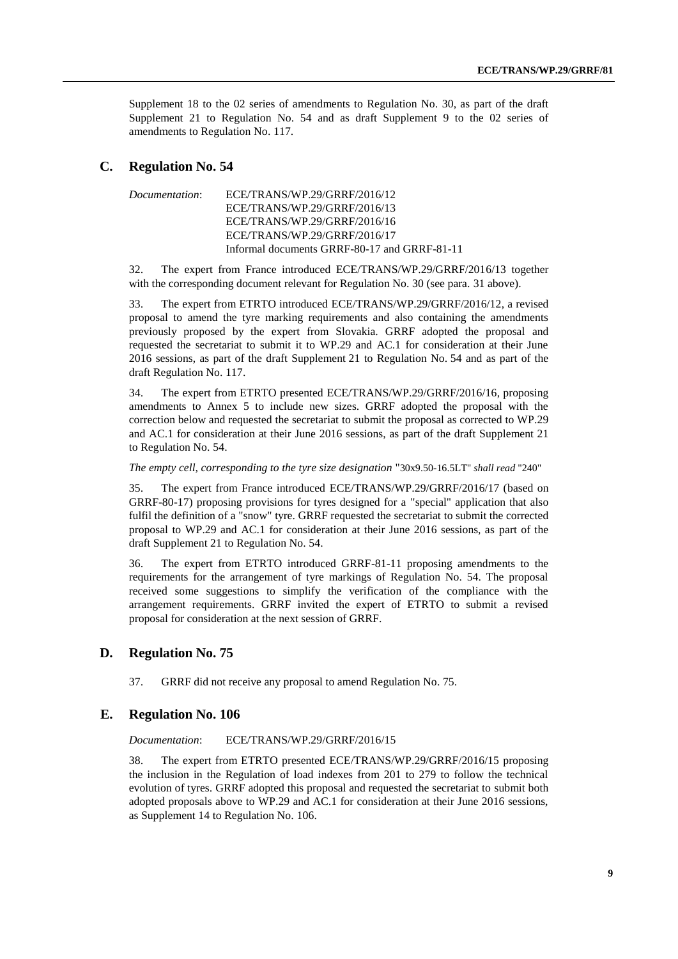Supplement 18 to the 02 series of amendments to Regulation No. 30, as part of the draft Supplement 21 to Regulation No. 54 and as draft Supplement 9 to the 02 series of amendments to Regulation No. 117.

#### **C. Regulation No. 54**

```
Documentation: ECE/TRANS/WP.29/GRRF/2016/12
    ECE/TRANS/WP.29/GRRF/2016/13
    ECE/TRANS/WP.29/GRRF/2016/16
    ECE/TRANS/WP.29/GRRF/2016/17
    Informal documents GRRF-80-17 and GRRF-81-11
```
32. The expert from France introduced ECE/TRANS/WP.29/GRRF/2016/13 together with the corresponding document relevant for Regulation No. 30 (see para. 31 above).

33. The expert from ETRTO introduced ECE/TRANS/WP.29/GRRF/2016/12, a revised proposal to amend the tyre marking requirements and also containing the amendments previously proposed by the expert from Slovakia. GRRF adopted the proposal and requested the secretariat to submit it to WP.29 and AC.1 for consideration at their June 2016 sessions, as part of the draft Supplement 21 to Regulation No. 54 and as part of the draft Regulation No. 117.

34. The expert from ETRTO presented ECE/TRANS/WP.29/GRRF/2016/16, proposing amendments to Annex 5 to include new sizes. GRRF adopted the proposal with the correction below and requested the secretariat to submit the proposal as corrected to WP.29 and AC.1 for consideration at their June 2016 sessions, as part of the draft Supplement 21 to Regulation No. 54.

*The empty cell, corresponding to the tyre size designation* "30x9.50-16.5LT" *shall read* "240"

35. The expert from France introduced ECE/TRANS/WP.29/GRRF/2016/17 (based on GRRF-80-17) proposing provisions for tyres designed for a "special" application that also fulfil the definition of a "snow" tyre. GRRF requested the secretariat to submit the corrected proposal to WP.29 and AC.1 for consideration at their June 2016 sessions, as part of the draft Supplement 21 to Regulation No. 54.

36. The expert from ETRTO introduced GRRF-81-11 proposing amendments to the requirements for the arrangement of tyre markings of Regulation No. 54. The proposal received some suggestions to simplify the verification of the compliance with the arrangement requirements. GRRF invited the expert of ETRTO to submit a revised proposal for consideration at the next session of GRRF.

#### **D. Regulation No. 75**

37. GRRF did not receive any proposal to amend Regulation No. 75.

#### **E. Regulation No. 106**

*Documentation*: ECE/TRANS/WP.29/GRRF/2016/15

38. The expert from ETRTO presented ECE/TRANS/WP.29/GRRF/2016/15 proposing the inclusion in the Regulation of load indexes from 201 to 279 to follow the technical evolution of tyres. GRRF adopted this proposal and requested the secretariat to submit both adopted proposals above to WP.29 and AC.1 for consideration at their June 2016 sessions, as Supplement 14 to Regulation No. 106.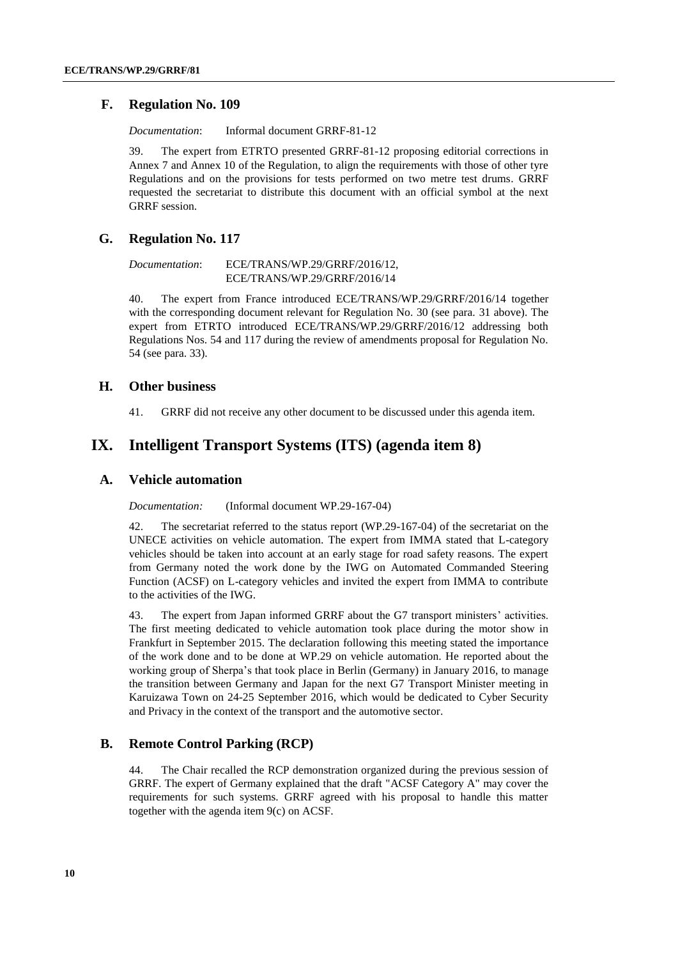#### **F. Regulation No. 109**

*Documentation*: Informal document GRRF-81-12

39. The expert from ETRTO presented GRRF-81-12 proposing editorial corrections in Annex 7 and Annex 10 of the Regulation, to align the requirements with those of other tyre Regulations and on the provisions for tests performed on two metre test drums. GRRF requested the secretariat to distribute this document with an official symbol at the next GRRF session.

#### **G. Regulation No. 117**

*Documentation*: ECE/TRANS/WP.29/GRRF/2016/12, ECE/TRANS/WP.29/GRRF/2016/14

40. The expert from France introduced ECE/TRANS/WP.29/GRRF/2016/14 together with the corresponding document relevant for Regulation No. 30 (see para. 31 above). The expert from ETRTO introduced ECE/TRANS/WP.29/GRRF/2016/12 addressing both Regulations Nos. 54 and 117 during the review of amendments proposal for Regulation No. 54 (see para. 33).

#### **H. Other business**

41. GRRF did not receive any other document to be discussed under this agenda item.

## **IX. Intelligent Transport Systems (ITS) (agenda item 8)**

#### **A. Vehicle automation**

#### *Documentation:* (Informal document WP.29-167-04)

42. The secretariat referred to the status report (WP.29-167-04) of the secretariat on the UNECE activities on vehicle automation. The expert from IMMA stated that L-category vehicles should be taken into account at an early stage for road safety reasons. The expert from Germany noted the work done by the IWG on Automated Commanded Steering Function (ACSF) on L-category vehicles and invited the expert from IMMA to contribute to the activities of the IWG.

43. The expert from Japan informed GRRF about the G7 transport ministers' activities. The first meeting dedicated to vehicle automation took place during the motor show in Frankfurt in September 2015. The declaration following this meeting stated the importance of the work done and to be done at WP.29 on vehicle automation. He reported about the working group of Sherpa's that took place in Berlin (Germany) in January 2016, to manage the transition between Germany and Japan for the next G7 Transport Minister meeting in Karuizawa Town on 24-25 September 2016, which would be dedicated to Cyber Security and Privacy in the context of the transport and the automotive sector.

#### **B. Remote Control Parking (RCP)**

44. The Chair recalled the RCP demonstration organized during the previous session of GRRF. The expert of Germany explained that the draft "ACSF Category A" may cover the requirements for such systems. GRRF agreed with his proposal to handle this matter together with the agenda item 9(c) on ACSF.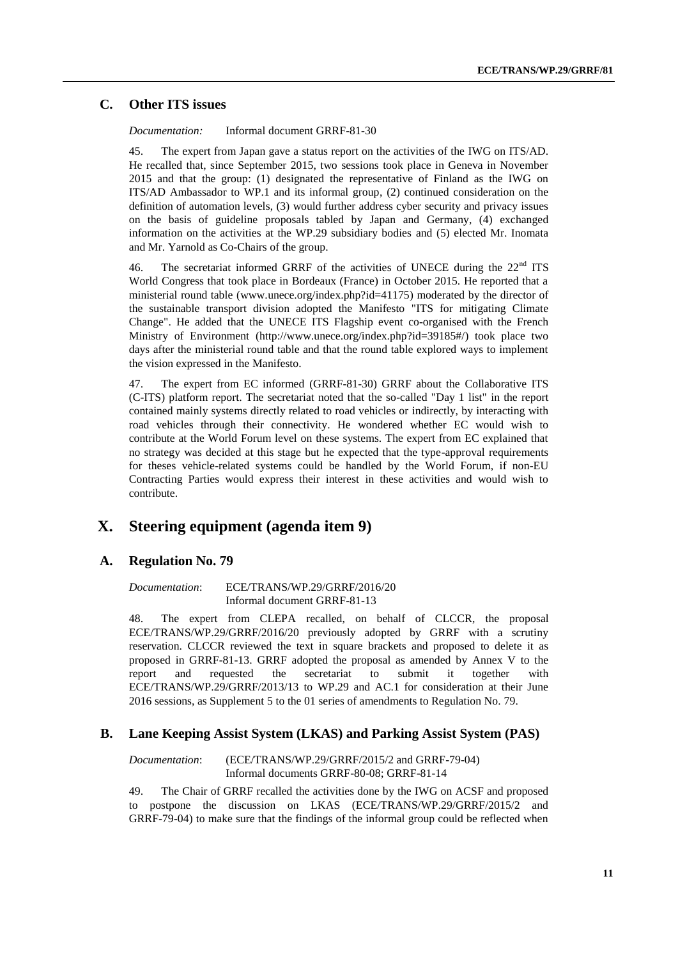#### **C. Other ITS issues**

*Documentation:* Informal document GRRF-81-30

45. The expert from Japan gave a status report on the activities of the IWG on ITS/AD. He recalled that, since September 2015, two sessions took place in Geneva in November 2015 and that the group: (1) designated the representative of Finland as the IWG on ITS/AD Ambassador to WP.1 and its informal group, (2) continued consideration on the definition of automation levels, (3) would further address cyber security and privacy issues on the basis of guideline proposals tabled by Japan and Germany, (4) exchanged information on the activities at the WP.29 subsidiary bodies and (5) elected Mr. Inomata and Mr. Yarnold as Co-Chairs of the group.

46. The secretariat informed GRRF of the activities of UNECE during the  $22<sup>nd</sup> ITS$ World Congress that took place in Bordeaux (France) in October 2015. He reported that a ministerial round table [\(www.unece.org/index.php?id=41175\)](http://www.unece.org/index.php?id=41175) moderated by the director of the sustainable transport division adopted the Manifesto "ITS for mitigating Climate Change". He added that the UNECE ITS Flagship event co-organised with the French Ministry of Environment [\(http://www.unece.org/index.php?id=39185#/\)](http://www.unece.org/index.php?id=39185#/) took place two days after the ministerial round table and that the round table explored ways to implement the vision expressed in the Manifesto.

47. The expert from EC informed (GRRF-81-30) GRRF about the Collaborative ITS (C-ITS) platform report. The secretariat noted that the so-called "Day 1 list" in the report contained mainly systems directly related to road vehicles or indirectly, by interacting with road vehicles through their connectivity. He wondered whether EC would wish to contribute at the World Forum level on these systems. The expert from EC explained that no strategy was decided at this stage but he expected that the type-approval requirements for theses vehicle-related systems could be handled by the World Forum, if non-EU Contracting Parties would express their interest in these activities and would wish to contribute.

## **X. Steering equipment (agenda item 9)**

#### **A. Regulation No. 79**

*Documentation*: ECE/TRANS/WP.29/GRRF/2016/20 Informal document GRRF-81-13

48. The expert from CLEPA recalled, on behalf of CLCCR, the proposal ECE/TRANS/WP.29/GRRF/2016/20 previously adopted by GRRF with a scrutiny reservation. CLCCR reviewed the text in square brackets and proposed to delete it as proposed in GRRF-81-13. GRRF adopted the proposal as amended by Annex V to the report and requested the secretariat to submit it together with ECE/TRANS/WP.29/GRRF/2013/13 to WP.29 and AC.1 for consideration at their June 2016 sessions, as Supplement 5 to the 01 series of amendments to Regulation No. 79.

#### **B. Lane Keeping Assist System (LKAS) and Parking Assist System (PAS)**

*Documentation*: (ECE/TRANS/WP.29/GRRF/2015/2 and GRRF-79-04) Informal documents GRRF-80-08; GRRF-81-14

49. The Chair of GRRF recalled the activities done by the IWG on ACSF and proposed to postpone the discussion on LKAS (ECE/TRANS/WP.29/GRRF/2015/2 and GRRF-79-04) to make sure that the findings of the informal group could be reflected when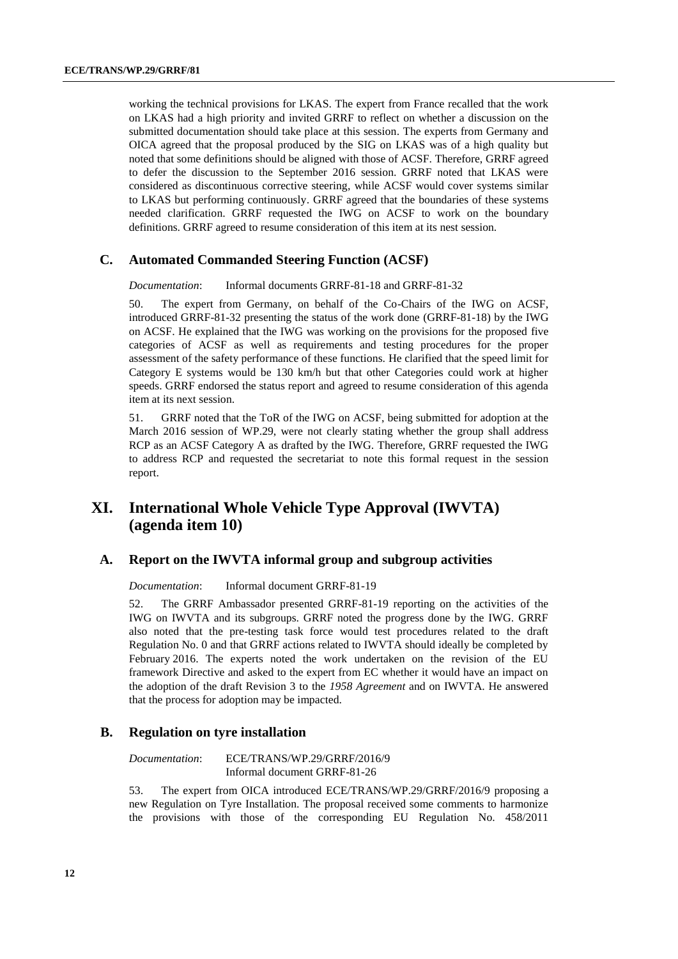working the technical provisions for LKAS. The expert from France recalled that the work on LKAS had a high priority and invited GRRF to reflect on whether a discussion on the submitted documentation should take place at this session. The experts from Germany and OICA agreed that the proposal produced by the SIG on LKAS was of a high quality but noted that some definitions should be aligned with those of ACSF. Therefore, GRRF agreed to defer the discussion to the September 2016 session. GRRF noted that LKAS were considered as discontinuous corrective steering, while ACSF would cover systems similar to LKAS but performing continuously. GRRF agreed that the boundaries of these systems needed clarification. GRRF requested the IWG on ACSF to work on the boundary definitions. GRRF agreed to resume consideration of this item at its nest session.

#### **C. Automated Commanded Steering Function (ACSF)**

*Documentation*: Informal documents GRRF-81-18 and GRRF-81-32

50. The expert from Germany, on behalf of the Co-Chairs of the IWG on ACSF, introduced GRRF-81-32 presenting the status of the work done (GRRF-81-18) by the IWG on ACSF. He explained that the IWG was working on the provisions for the proposed five categories of ACSF as well as requirements and testing procedures for the proper assessment of the safety performance of these functions. He clarified that the speed limit for Category E systems would be 130 km/h but that other Categories could work at higher speeds. GRRF endorsed the status report and agreed to resume consideration of this agenda item at its next session.

51. GRRF noted that the ToR of the IWG on ACSF, being submitted for adoption at the March 2016 session of WP.29, were not clearly stating whether the group shall address RCP as an ACSF Category A as drafted by the IWG. Therefore, GRRF requested the IWG to address RCP and requested the secretariat to note this formal request in the session report.

## **XI. International Whole Vehicle Type Approval (IWVTA) (agenda item 10)**

#### **A. Report on the IWVTA informal group and subgroup activities**

*Documentation*: Informal document GRRF-81-19

52. The GRRF Ambassador presented GRRF-81-19 reporting on the activities of the IWG on IWVTA and its subgroups. GRRF noted the progress done by the IWG. GRRF also noted that the pre-testing task force would test procedures related to the draft Regulation No. 0 and that GRRF actions related to IWVTA should ideally be completed by February 2016. The experts noted the work undertaken on the revision of the EU framework Directive and asked to the expert from EC whether it would have an impact on the adoption of the draft Revision 3 to the *1958 Agreement* and on IWVTA. He answered that the process for adoption may be impacted.

#### **B. Regulation on tyre installation**

*Documentation*: ECE/TRANS/WP.29/GRRF/2016/9 Informal document GRRF-81-26

53. The expert from OICA introduced ECE/TRANS/WP.29/GRRF/2016/9 proposing a new Regulation on Tyre Installation. The proposal received some comments to harmonize the provisions with those of the corresponding EU Regulation No. 458/2011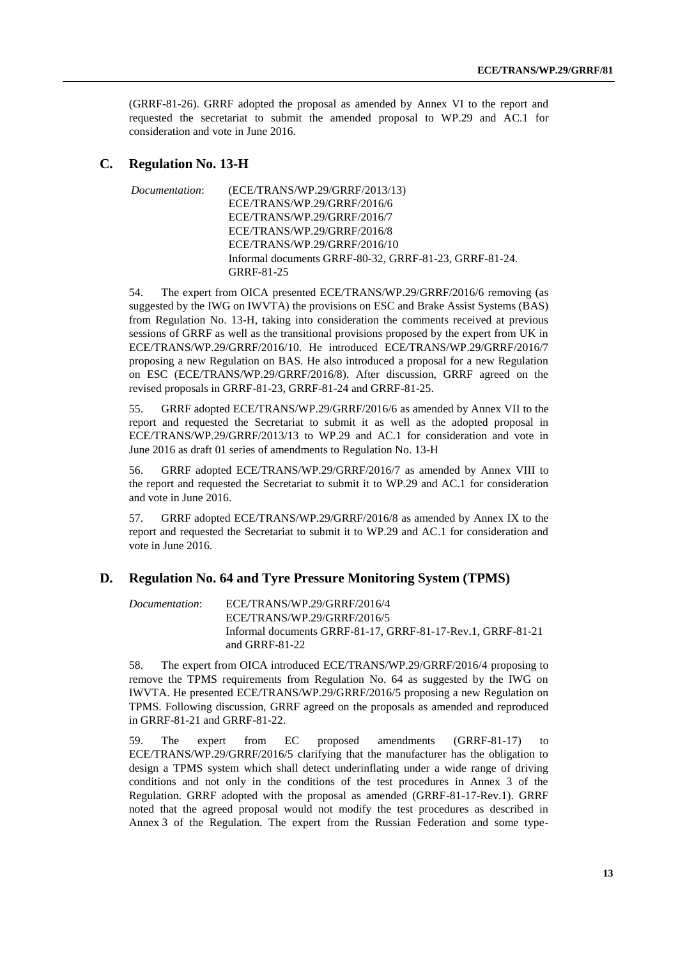(GRRF-81-26). GRRF adopted the proposal as amended by Annex VI to the report and requested the secretariat to submit the amended proposal to WP.29 and AC.1 for consideration and vote in June 2016.

#### **C. Regulation No. 13-H**

*Documentation*: (ECE/TRANS/WP.29/GRRF/2013/13) ECE/TRANS/WP.29/GRRF/2016/6 ECE/TRANS/WP.29/GRRF/2016/7 ECE/TRANS/WP.29/GRRF/2016/8 ECE/TRANS/WP.29/GRRF/2016/10 Informal documents GRRF-80-32, GRRF-81-23, GRRF-81-24. GRRF-81-25

54. The expert from OICA presented ECE/TRANS/WP.29/GRRF/2016/6 removing (as suggested by the IWG on IWVTA) the provisions on ESC and Brake Assist Systems (BAS) from Regulation No. 13-H, taking into consideration the comments received at previous sessions of GRRF as well as the transitional provisions proposed by the expert from UK in ECE/TRANS/WP.29/GRRF/2016/10. He introduced ECE/TRANS/WP.29/GRRF/2016/7 proposing a new Regulation on BAS. He also introduced a proposal for a new Regulation on ESC (ECE/TRANS/WP.29/GRRF/2016/8). After discussion, GRRF agreed on the revised proposals in GRRF-81-23, GRRF-81-24 and GRRF-81-25.

55. GRRF adopted ECE/TRANS/WP.29/GRRF/2016/6 as amended by Annex VII to the report and requested the Secretariat to submit it as well as the adopted proposal in ECE/TRANS/WP.29/GRRF/2013/13 to WP.29 and AC.1 for consideration and vote in June 2016 as draft 01 series of amendments to Regulation No. 13-H

56. GRRF adopted ECE/TRANS/WP.29/GRRF/2016/7 as amended by Annex VIII to the report and requested the Secretariat to submit it to WP.29 and AC.1 for consideration and vote in June 2016.

57. GRRF adopted ECE/TRANS/WP.29/GRRF/2016/8 as amended by Annex IX to the report and requested the Secretariat to submit it to WP.29 and AC.1 for consideration and vote in June 2016.

#### **D. Regulation No. 64 and Tyre Pressure Monitoring System (TPMS)**

*Documentation*: ECE/TRANS/WP.29/GRRF/2016/4 ECE/TRANS/WP.29/GRRF/2016/5 Informal documents GRRF-81-17, GRRF-81-17-Rev.1, GRRF-81-21 and GRRF-81-22

58. The expert from OICA introduced ECE/TRANS/WP.29/GRRF/2016/4 proposing to remove the TPMS requirements from Regulation No. 64 as suggested by the IWG on IWVTA. He presented ECE/TRANS/WP.29/GRRF/2016/5 proposing a new Regulation on TPMS. Following discussion, GRRF agreed on the proposals as amended and reproduced in GRRF-81-21 and GRRF-81-22.

59. The expert from EC proposed amendments (GRRF-81-17) to ECE/TRANS/WP.29/GRRF/2016/5 clarifying that the manufacturer has the obligation to design a TPMS system which shall detect underinflating under a wide range of driving conditions and not only in the conditions of the test procedures in Annex 3 of the Regulation. GRRF adopted with the proposal as amended (GRRF-81-17-Rev.1). GRRF noted that the agreed proposal would not modify the test procedures as described in Annex 3 of the Regulation. The expert from the Russian Federation and some type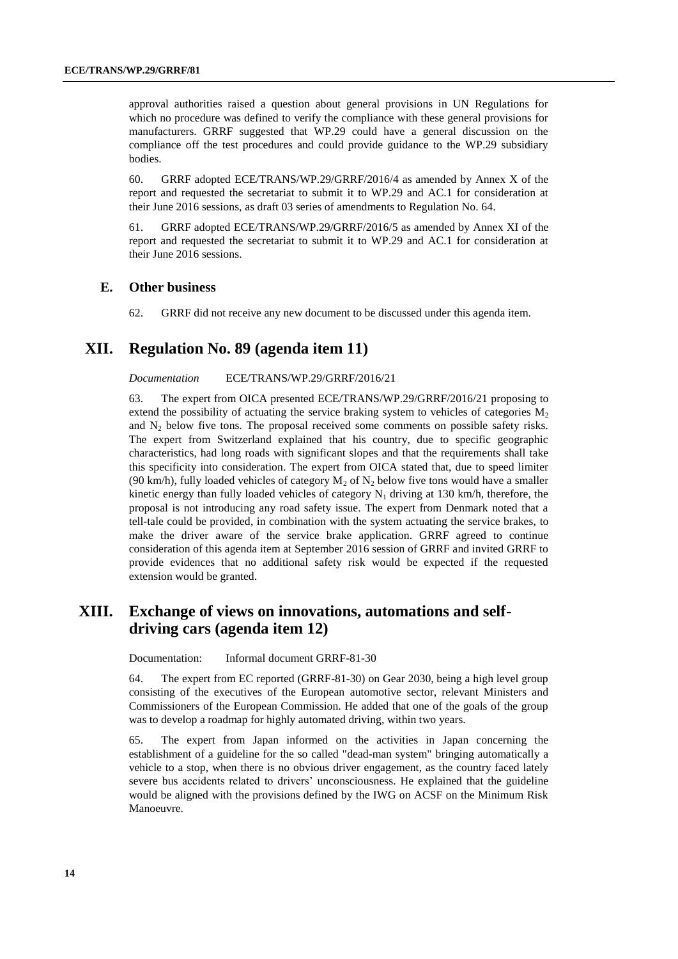approval authorities raised a question about general provisions in UN Regulations for which no procedure was defined to verify the compliance with these general provisions for manufacturers. GRRF suggested that WP.29 could have a general discussion on the compliance off the test procedures and could provide guidance to the WP.29 subsidiary bodies.

60. GRRF adopted ECE/TRANS/WP.29/GRRF/2016/4 as amended by Annex X of the report and requested the secretariat to submit it to WP.29 and AC.1 for consideration at their June 2016 sessions, as draft 03 series of amendments to Regulation No. 64.

61. GRRF adopted ECE/TRANS/WP.29/GRRF/2016/5 as amended by Annex XI of the report and requested the secretariat to submit it to WP.29 and AC.1 for consideration at their June 2016 sessions.

#### **E. Other business**

62. GRRF did not receive any new document to be discussed under this agenda item.

## **XII. Regulation No. 89 (agenda item 11)**

*Documentation* ECE/TRANS/WP.29/GRRF/2016/21

63. The expert from OICA presented ECE/TRANS/WP.29/GRRF/2016/21 proposing to extend the possibility of actuating the service braking system to vehicles of categories  $M_2$ and  $N_2$  below five tons. The proposal received some comments on possible safety risks. The expert from Switzerland explained that his country, due to specific geographic characteristics, had long roads with significant slopes and that the requirements shall take this specificity into consideration. The expert from OICA stated that, due to speed limiter (90 km/h), fully loaded vehicles of category  $M_2$  of  $N_2$  below five tons would have a smaller kinetic energy than fully loaded vehicles of category  $N_1$  driving at 130 km/h, therefore, the proposal is not introducing any road safety issue. The expert from Denmark noted that a tell-tale could be provided, in combination with the system actuating the service brakes, to make the driver aware of the service brake application. GRRF agreed to continue consideration of this agenda item at September 2016 session of GRRF and invited GRRF to provide evidences that no additional safety risk would be expected if the requested extension would be granted.

## **XIII. Exchange of views on innovations, automations and selfdriving cars (agenda item 12)**

Documentation: Informal document GRRF-81-30

64. The expert from EC reported (GRRF-81-30) on Gear 2030, being a high level group consisting of the executives of the European automotive sector, relevant Ministers and Commissioners of the European Commission. He added that one of the goals of the group was to develop a roadmap for highly automated driving, within two years.

65. The expert from Japan informed on the activities in Japan concerning the establishment of a guideline for the so called "dead-man system" bringing automatically a vehicle to a stop, when there is no obvious driver engagement, as the country faced lately severe bus accidents related to drivers' unconsciousness. He explained that the guideline would be aligned with the provisions defined by the IWG on ACSF on the Minimum Risk Manoeuvre.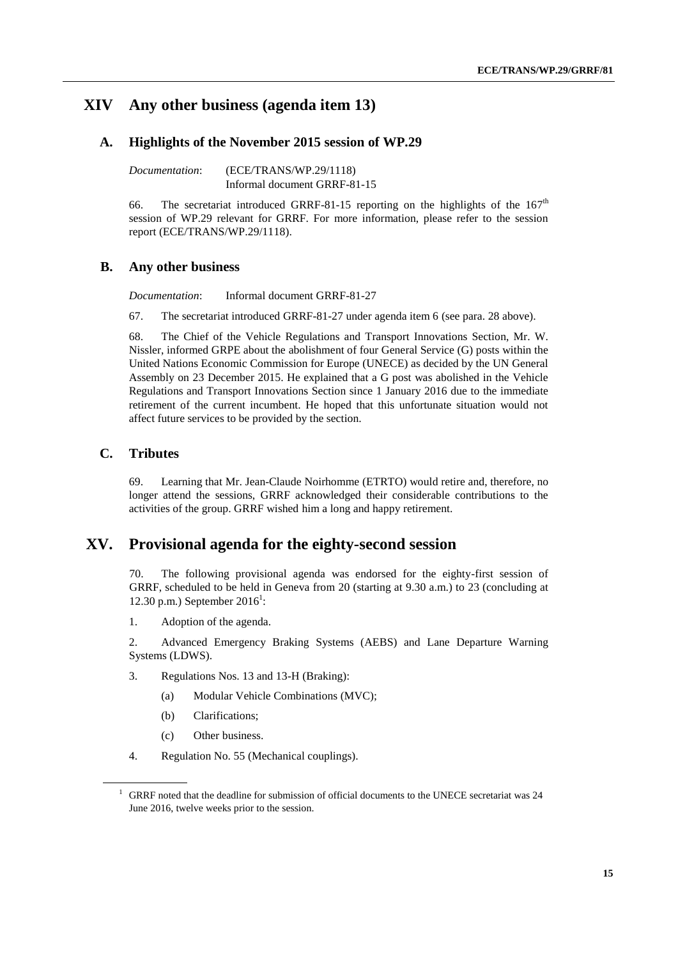## **XIV Any other business (agenda item 13)**

#### **A. Highlights of the November 2015 session of WP.29**

*Documentation*: (ECE/TRANS/WP.29/1118) Informal document GRRF-81-15

66. The secretariat introduced GRRF-81-15 reporting on the highlights of the  $167<sup>th</sup>$ session of WP.29 relevant for GRRF. For more information, please refer to the session report (ECE/TRANS/WP.29/1118).

#### **B. Any other business**

*Documentation*: Informal document GRRF-81-27

67. The secretariat introduced GRRF-81-27 under agenda item 6 (see para. 28 above).

68. The Chief of the Vehicle Regulations and Transport Innovations Section, Mr. W. Nissler, informed GRPE about the abolishment of four General Service (G) posts within the United Nations Economic Commission for Europe (UNECE) as decided by the UN General Assembly on 23 December 2015. He explained that a G post was abolished in the Vehicle Regulations and Transport Innovations Section since 1 January 2016 due to the immediate retirement of the current incumbent. He hoped that this unfortunate situation would not affect future services to be provided by the section.

#### **C. Tributes**

69. Learning that Mr. Jean-Claude Noirhomme (ETRTO) would retire and, therefore, no longer attend the sessions, GRRF acknowledged their considerable contributions to the activities of the group. GRRF wished him a long and happy retirement.

## **XV. Provisional agenda for the eighty-second session**

70. The following provisional agenda was endorsed for the eighty-first session of GRRF, scheduled to be held in Geneva from 20 (starting at 9.30 a.m.) to 23 (concluding at 12.30 p.m.) September  $2016^1$ :

1. Adoption of the agenda.

2. Advanced Emergency Braking Systems (AEBS) and Lane Departure Warning Systems (LDWS).

- 3. Regulations Nos. 13 and 13-H (Braking):
	- (a) Modular Vehicle Combinations (MVC);
	- (b) Clarifications;
	- (c) Other business.
- 4. Regulation No. 55 (Mechanical couplings).

<sup>1</sup> GRRF noted that the deadline for submission of official documents to the UNECE secretariat was 24 June 2016, twelve weeks prior to the session.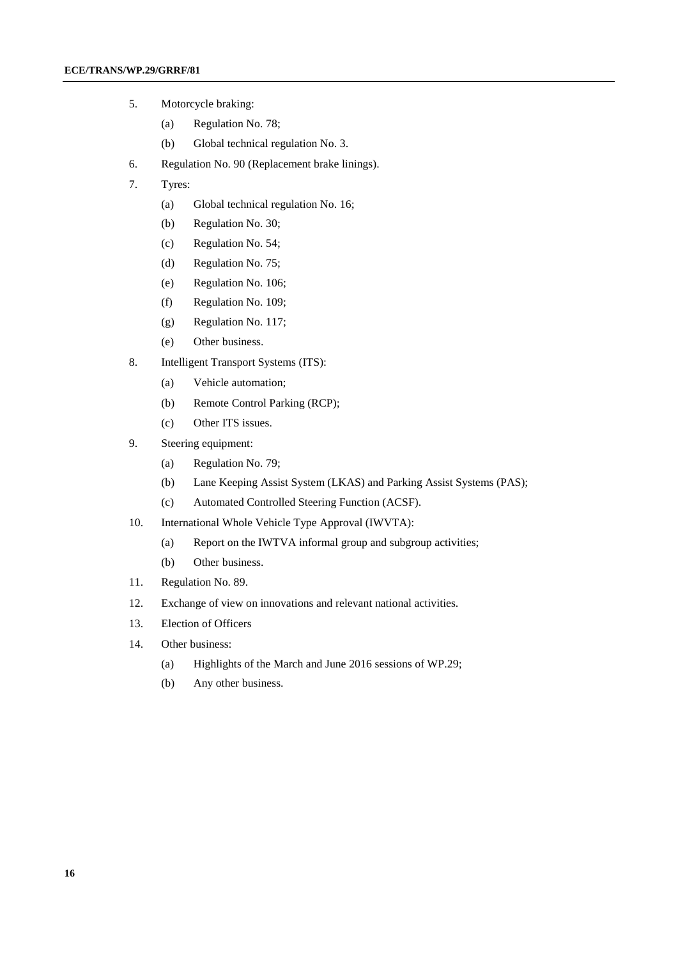- 5. Motorcycle braking:
	- (a) Regulation No. 78;
	- (b) Global technical regulation No. 3.
- 6. Regulation No. 90 (Replacement brake linings).
- 7. Tyres:
	- (a) Global technical regulation No. 16;
	- (b) Regulation No. 30;
	- (c) Regulation No. 54;
	- (d) Regulation No. 75;
	- (e) Regulation No. 106;
	- (f) Regulation No. 109;
	- (g) Regulation No. 117;
	- (e) Other business.
- 8. Intelligent Transport Systems (ITS):
	- (a) Vehicle automation;
	- (b) Remote Control Parking (RCP);
	- (c) Other ITS issues.
- 9. Steering equipment:
	- (a) Regulation No. 79;
	- (b) Lane Keeping Assist System (LKAS) and Parking Assist Systems (PAS);
	- (c) Automated Controlled Steering Function (ACSF).
- 10. International Whole Vehicle Type Approval (IWVTA):
	- (a) Report on the IWTVA informal group and subgroup activities;
	- (b) Other business.
- 11. Regulation No. 89.
- 12. Exchange of view on innovations and relevant national activities.
- 13. Election of Officers
- 14. Other business:
	- (a) Highlights of the March and June 2016 sessions of WP.29;
	- (b) Any other business.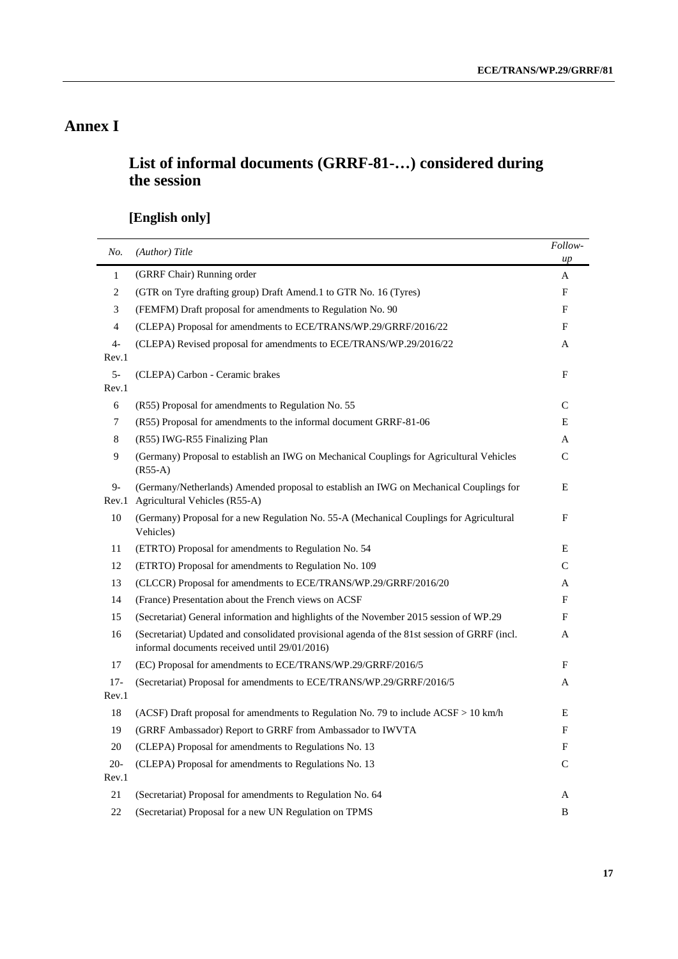# **Annex I**

# **List of informal documents (GRRF-81-…) considered during the session**

# **[English only]**

| No.          | (Author) Title                                                                                                                                | Follow-<br>$\mu$ |
|--------------|-----------------------------------------------------------------------------------------------------------------------------------------------|------------------|
| $\mathbf{1}$ | (GRRF Chair) Running order                                                                                                                    | A                |
| 2            | (GTR on Tyre drafting group) Draft Amend.1 to GTR No. 16 (Tyres)                                                                              | F                |
| 3            | (FEMFM) Draft proposal for amendments to Regulation No. 90                                                                                    | F                |
| 4            | (CLEPA) Proposal for amendments to ECE/TRANS/WP.29/GRRF/2016/22                                                                               | F                |
| 4-           | (CLEPA) Revised proposal for amendments to ECE/TRANS/WP.29/2016/22                                                                            | A                |
| Rev.1        |                                                                                                                                               |                  |
| $5-$         | (CLEPA) Carbon - Ceramic brakes                                                                                                               | F                |
| Rev.1        |                                                                                                                                               |                  |
| 6            | (R55) Proposal for amendments to Regulation No. 55                                                                                            | C                |
| 7            | (R55) Proposal for amendments to the informal document GRRF-81-06                                                                             | Ε                |
| 8            | (R55) IWG-R55 Finalizing Plan                                                                                                                 | A                |
| 9            | (Germany) Proposal to establish an IWG on Mechanical Couplings for Agricultural Vehicles<br>$(R55-A)$                                         | $\mathsf{C}$     |
| 9-<br>Rev.1  | (Germany/Netherlands) Amended proposal to establish an IWG on Mechanical Couplings for<br>Agricultural Vehicles (R55-A)                       | Ε                |
| 10           | (Germany) Proposal for a new Regulation No. 55-A (Mechanical Couplings for Agricultural<br>Vehicles)                                          | F                |
| 11           | (ETRTO) Proposal for amendments to Regulation No. 54                                                                                          | Ε                |
| 12           | (ETRTO) Proposal for amendments to Regulation No. 109                                                                                         | C                |
| 13           | (CLCCR) Proposal for amendments to ECE/TRANS/WP.29/GRRF/2016/20                                                                               | A                |
| 14           | (France) Presentation about the French views on ACSF                                                                                          | F                |
| 15           | (Secretariat) General information and highlights of the November 2015 session of WP.29                                                        | F                |
| 16           | (Secretariat) Updated and consolidated provisional agenda of the 81st session of GRRF (incl.<br>informal documents received until 29/01/2016) | A                |
| 17           | (EC) Proposal for amendments to ECE/TRANS/WP.29/GRRF/2016/5                                                                                   | F                |
| $17-$        | (Secretariat) Proposal for amendments to ECE/TRANS/WP.29/GRRF/2016/5                                                                          | A                |
| Rev.1        |                                                                                                                                               |                  |
| 18           | (ACSF) Draft proposal for amendments to Regulation No. 79 to include $ACSF > 10$ km/h                                                         | E                |
| 19           | (GRRF Ambassador) Report to GRRF from Ambassador to IWVTA                                                                                     | F                |
| 20           | (CLEPA) Proposal for amendments to Regulations No. 13                                                                                         | F                |
| $20 -$       | (CLEPA) Proposal for amendments to Regulations No. 13                                                                                         | C                |
| Rev.1        |                                                                                                                                               |                  |
| 21           | (Secretariat) Proposal for amendments to Regulation No. 64                                                                                    | A                |
| 22           | (Secretariat) Proposal for a new UN Regulation on TPMS                                                                                        | B                |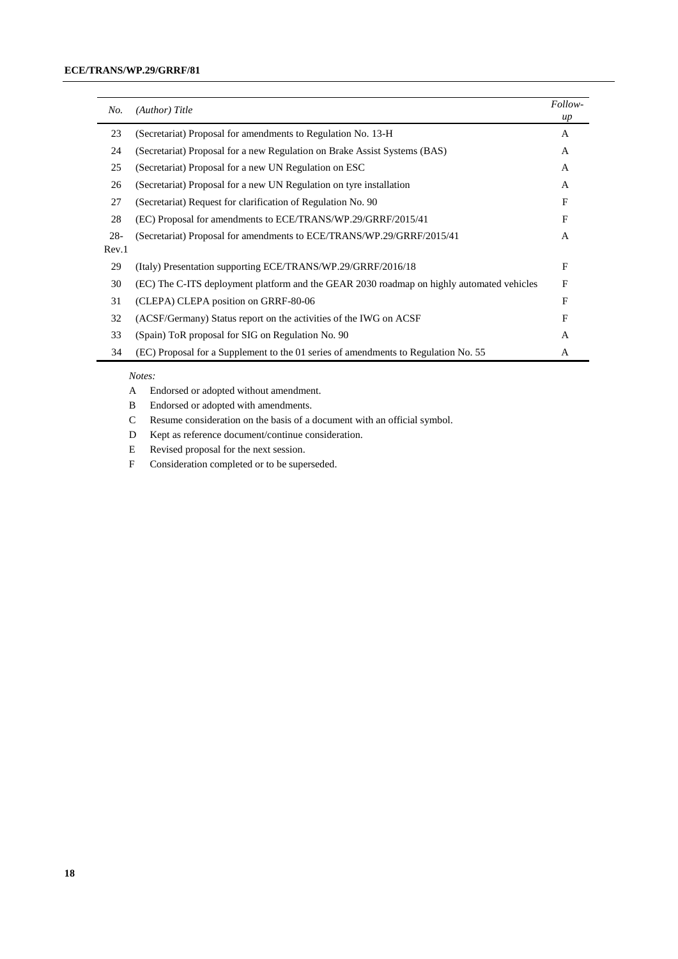| No.    | (Author) Title                                                                            | Follow-<br>$\mu$ |
|--------|-------------------------------------------------------------------------------------------|------------------|
| 23     | (Secretariat) Proposal for amendments to Regulation No. 13-H                              | $\mathsf{A}$     |
| 24     | (Secretariat) Proposal for a new Regulation on Brake Assist Systems (BAS)                 | $\mathsf{A}$     |
| 25     | (Secretariat) Proposal for a new UN Regulation on ESC                                     | $\mathsf{A}$     |
| 26     | (Secretariat) Proposal for a new UN Regulation on tyre installation                       | A                |
| 27     | (Secretariat) Request for clarification of Regulation No. 90                              | F                |
| 28     | (EC) Proposal for amendments to ECE/TRANS/WP.29/GRRF/2015/41                              | F                |
| $28 -$ | (Secretariat) Proposal for amendments to ECE/TRANS/WP.29/GRRF/2015/41                     | A                |
| Rev.1  |                                                                                           |                  |
| 29     | (Italy) Presentation supporting ECE/TRANS/WP.29/GRRF/2016/18                              | F                |
| 30     | (EC) The C-ITS deployment platform and the GEAR 2030 roadmap on highly automated vehicles | F                |
| 31     | (CLEPA) CLEPA position on GRRF-80-06                                                      | F                |
| 32     | (ACSF/Germany) Status report on the activities of the IWG on ACSF                         | F                |
| 33     | (Spain) ToR proposal for SIG on Regulation No. 90                                         | A                |
| 34     | (EC) Proposal for a Supplement to the 01 series of amendments to Regulation No. 55        | A                |

#### *Notes:*

- A Endorsed or adopted without amendment.
- B Endorsed or adopted with amendments.
- C Resume consideration on the basis of a document with an official symbol.
- D Kept as reference document/continue consideration.
- E Revised proposal for the next session.
- F Consideration completed or to be superseded.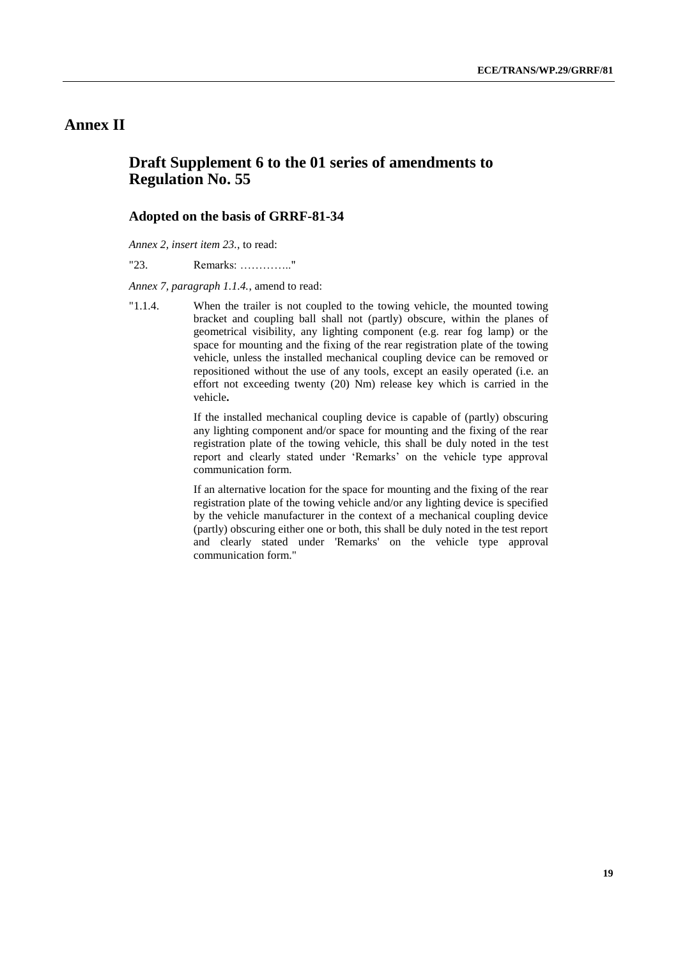# **Annex II**

## **Draft Supplement 6 to the 01 series of amendments to Regulation No. 55**

#### **Adopted on the basis of GRRF-81-34**

*Annex 2, insert item 23.*, to read:

"23. Remarks: ………….."

*Annex 7, paragraph 1.1.4.*, amend to read:

"1.1.4. When the trailer is not coupled to the towing vehicle, the mounted towing bracket and coupling ball shall not (partly) obscure, within the planes of geometrical visibility, any lighting component (e.g. rear fog lamp) or the space for mounting and the fixing of the rear registration plate of the towing vehicle, unless the installed mechanical coupling device can be removed or repositioned without the use of any tools, except an easily operated (i.e. an effort not exceeding twenty (20) Nm) release key which is carried in the vehicle**.**

> If the installed mechanical coupling device is capable of (partly) obscuring any lighting component and/or space for mounting and the fixing of the rear registration plate of the towing vehicle, this shall be duly noted in the test report and clearly stated under 'Remarks' on the vehicle type approval communication form.

> If an alternative location for the space for mounting and the fixing of the rear registration plate of the towing vehicle and/or any lighting device is specified by the vehicle manufacturer in the context of a mechanical coupling device (partly) obscuring either one or both, this shall be duly noted in the test report and clearly stated under 'Remarks' on the vehicle type approval communication form."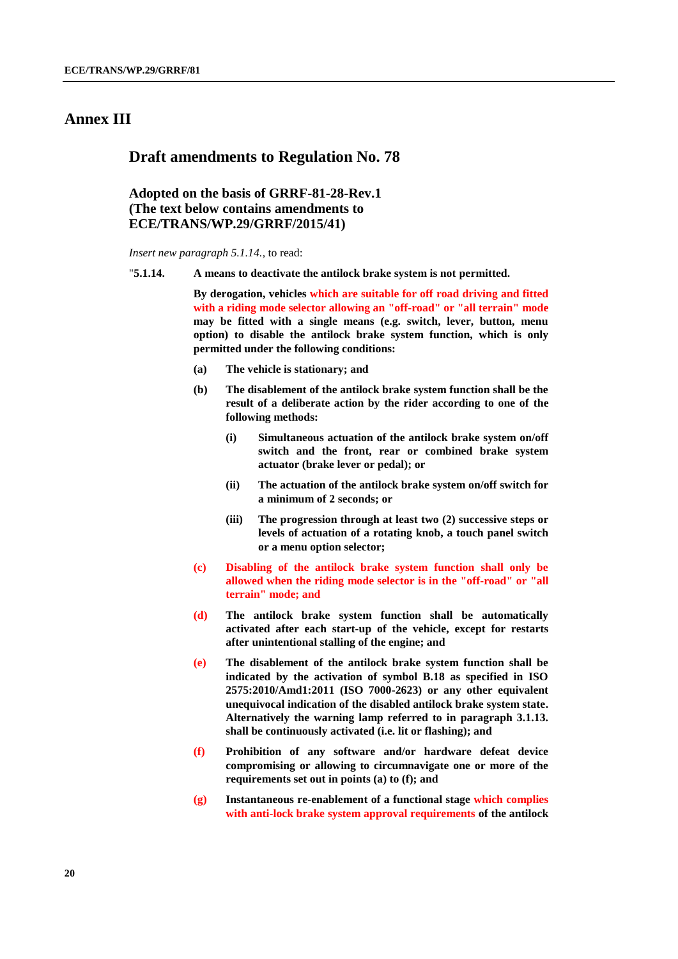## **Annex III**

#### **Draft amendments to Regulation No. 78**

## **Adopted on the basis of GRRF-81-28-Rev.1 (The text below contains amendments to ECE/TRANS/WP.29/GRRF/2015/41)**

*Insert new paragraph 5.1.14.*, to read:

"**5.1.14. A means to deactivate the antilock brake system is not permitted.**

**By derogation, vehicles which are suitable for off road driving and fitted with a riding mode selector allowing an "off-road" or "all terrain" mode may be fitted with a single means (e.g. switch, lever, button, menu option) to disable the antilock brake system function, which is only permitted under the following conditions:**

- **(a) The vehicle is stationary; and**
- **(b) The disablement of the antilock brake system function shall be the result of a deliberate action by the rider according to one of the following methods:**
	- **(i) Simultaneous actuation of the antilock brake system on/off switch and the front, rear or combined brake system actuator (brake lever or pedal); or**
	- **(ii) The actuation of the antilock brake system on/off switch for a minimum of 2 seconds; or**
	- **(iii) The progression through at least two (2) successive steps or levels of actuation of a rotating knob, a touch panel switch or a menu option selector;**
- **(c) Disabling of the antilock brake system function shall only be allowed when the riding mode selector is in the "off-road" or "all terrain" mode; and**
- **(d) The antilock brake system function shall be automatically activated after each start-up of the vehicle, except for restarts after unintentional stalling of the engine; and**
- **(e) The disablement of the antilock brake system function shall be indicated by the activation of symbol B.18 as specified in ISO 2575:2010/Amd1:2011 (ISO 7000-2623) or any other equivalent unequivocal indication of the disabled antilock brake system state. Alternatively the warning lamp referred to in paragraph 3.1.13. shall be continuously activated (i.e. lit or flashing); and**
- **(f) Prohibition of any software and/or hardware defeat device compromising or allowing to circumnavigate one or more of the requirements set out in points (a) to (f); and**
- **(g) Instantaneous re-enablement of a functional stage which complies with anti-lock brake system approval requirements of the antilock**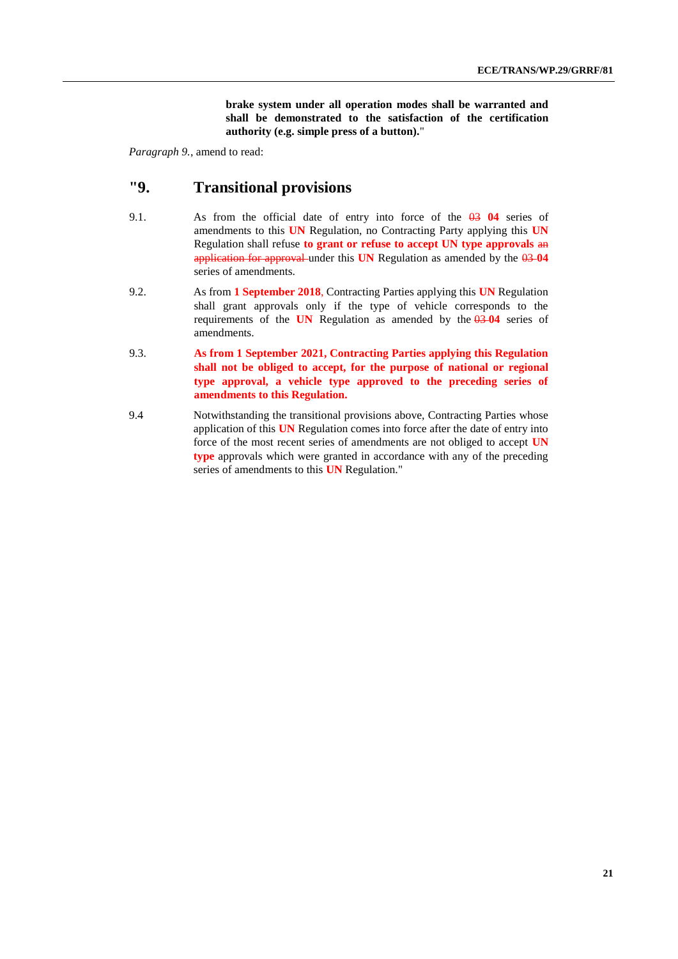**brake system under all operation modes shall be warranted and shall be demonstrated to the satisfaction of the certification authority (e.g. simple press of a button).**"

*Paragraph 9.*, amend to read:

# **"9. Transitional provisions**

- 9.1. As from the official date of entry into force of the 03 **04** series of amendments to this **UN** Regulation, no Contracting Party applying this **UN** Regulation shall refuse **to grant or refuse to accept UN type approvals** an application for approval under this **UN** Regulation as amended by the 03 **04** series of amendments.
- 9.2. As from **1 September 2018**, Contracting Parties applying this **UN** Regulation shall grant approvals only if the type of vehicle corresponds to the requirements of the **UN** Regulation as amended by the  $\theta$ 3  $\theta$ 4 series of amendments.
- 9.3. **As from 1 September 2021, Contracting Parties applying this Regulation shall not be obliged to accept, for the purpose of national or regional type approval, a vehicle type approved to the preceding series of amendments to this Regulation.**
- 9.4 Notwithstanding the transitional provisions above, Contracting Parties whose application of this **UN** Regulation comes into force after the date of entry into force of the most recent series of amendments are not obliged to accept **UN type** approvals which were granted in accordance with any of the preceding series of amendments to this **UN** Regulation."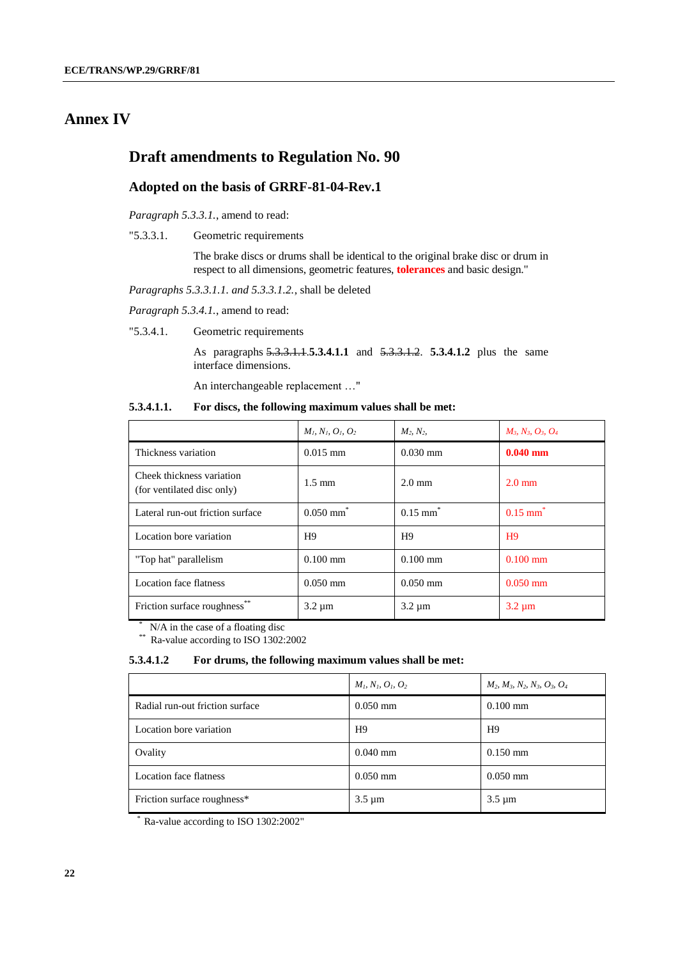# **Annex IV**

## **Draft amendments to Regulation No. 90**

#### **Adopted on the basis of GRRF-81-04-Rev.1**

*Paragraph 5.3.3.1.*, amend to read:

"5.3.3.1. Geometric requirements

The brake discs or drums shall be identical to the original brake disc or drum in respect to all dimensions, geometric features, **tolerances** and basic design."

*Paragraphs 5.3.3.1.1. and 5.3.3.1.2.*, shall be deleted

*Paragraph 5.3.4.1.*, amend to read:

"5.3.4.1. Geometric requirements

As paragraphs 5.3.3.1.1.**5.3.4.1.1** and 5.3.3.1.2. **5.3.4.1.2** plus the same interface dimensions.

An interchangeable replacement …"

**5.3.4.1.1. For discs, the following maximum values shall be met:**

|                                                         | $M_l, N_l, O_l, O_2$    | $M_2, N_2,$            | $M_3, N_3, O_3, O_4$   |
|---------------------------------------------------------|-------------------------|------------------------|------------------------|
| Thickness variation                                     | $0.015$ mm              | $0.030$ mm             | $0.040$ mm             |
| Cheek thickness variation<br>(for ventilated disc only) | $1.5 \text{ mm}$        | $2.0 \text{ mm}$       | $2.0 \text{ mm}$       |
| Lateral run-out friction surface                        | $0.050$ mm <sup>*</sup> | $0.15$ mm <sup>*</sup> | $0.15$ mm <sup>*</sup> |
| Location bore variation                                 | H9                      | H9                     | H <sub>9</sub>         |
| "Top hat" parallelism                                   | $0.100$ mm              | $0.100$ mm             | $0.100$ mm             |
| Location face flatness                                  | $0.050$ mm              | $0.050$ mm             | $0.050$ mm             |
| Friction surface roughness**                            | $3.2 \mu m$             | $3.2 \mu m$            | $3.2 \mu m$            |

*\** N/A in the case of a floating disc

*\*\** Ra-value according to ISO 1302:2002

#### **5.3.4.1.2 For drums, the following maximum values shall be met:**

|                                 | $M_1, N_1, O_1, O_2$ | $M_2$ , $M_3$ , $N_2$ , $N_3$ , $O_3$ , $O_4$ |
|---------------------------------|----------------------|-----------------------------------------------|
| Radial run-out friction surface | $0.050$ mm           | $0.100 \text{ mm}$                            |
| Location bore variation         | H9                   | H <sub>9</sub>                                |
| Ovality                         | $0.040$ mm           | $0.150$ mm                                    |
| Location face flatness          | $0.050$ mm           | $0.050$ mm                                    |
| Friction surface roughness*     | $3.5 \mu m$          | $3.5 \mu m$                                   |

Ra-value according to ISO 1302:2002"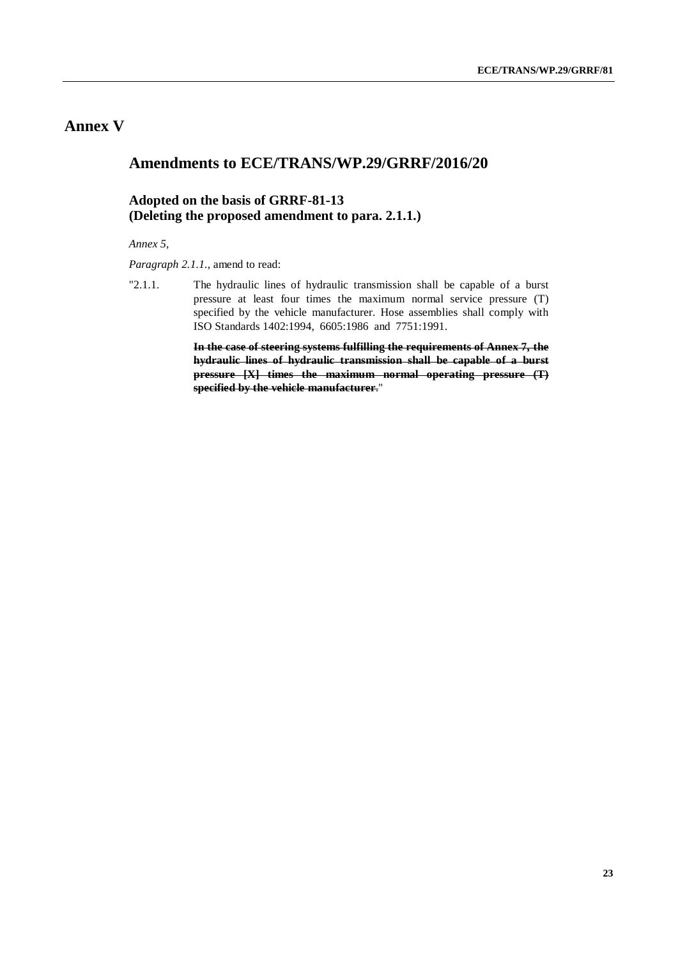# **Annex V**

## **Amendments to ECE/TRANS/WP.29/GRRF/2016/20**

## **Adopted on the basis of GRRF-81-13 (Deleting the proposed amendment to para. 2.1.1.)**

*Annex 5,*

*Paragraph 2.1.1.*, amend to read:

"2.1.1. The hydraulic lines of hydraulic transmission shall be capable of a burst pressure at least four times the maximum normal service pressure (T) specified by the vehicle manufacturer. Hose assemblies shall comply with ISO Standards 1402:1994, 6605:1986 and 7751:1991.

> **In the case of steering systems fulfilling the requirements of Annex 7, the hydraulic lines of hydraulic transmission shall be capable of a burst pressure [X] times the maximum normal operating pressure (T) specified by the vehicle manufacturer**."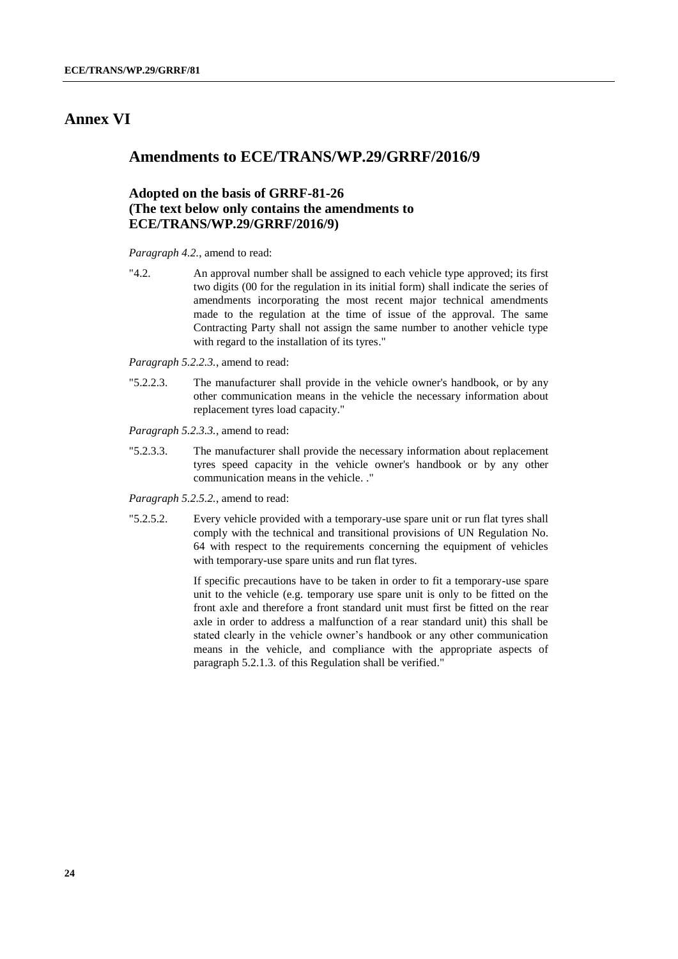## **Annex VI**

## **Amendments to ECE/TRANS/WP.29/GRRF/2016/9**

## **Adopted on the basis of GRRF-81-26 (The text below only contains the amendments to ECE/TRANS/WP.29/GRRF/2016/9)**

*Paragraph 4.2.*, amend to read:

"4.2. An approval number shall be assigned to each vehicle type approved; its first two digits (00 for the regulation in its initial form) shall indicate the series of amendments incorporating the most recent major technical amendments made to the regulation at the time of issue of the approval. The same Contracting Party shall not assign the same number to another vehicle type with regard to the installation of its tyres."

*Paragraph 5.2.2.3.*, amend to read:

"5.2.2.3. The manufacturer shall provide in the vehicle owner's handbook, or by any other communication means in the vehicle the necessary information about replacement tyres load capacity."

*Paragraph 5.2.3.3.*, amend to read:

"5.2.3.3. The manufacturer shall provide the necessary information about replacement tyres speed capacity in the vehicle owner's handbook or by any other communication means in the vehicle. ."

*Paragraph 5.2.5.2.*, amend to read:

"5.2.5.2. Every vehicle provided with a temporary-use spare unit or run flat tyres shall comply with the technical and transitional provisions of UN Regulation No. 64 with respect to the requirements concerning the equipment of vehicles with temporary-use spare units and run flat tyres.

> If specific precautions have to be taken in order to fit a temporary-use spare unit to the vehicle (e.g. temporary use spare unit is only to be fitted on the front axle and therefore a front standard unit must first be fitted on the rear axle in order to address a malfunction of a rear standard unit) this shall be stated clearly in the vehicle owner's handbook or any other communication means in the vehicle, and compliance with the appropriate aspects of paragraph 5.2.1.3. of this Regulation shall be verified."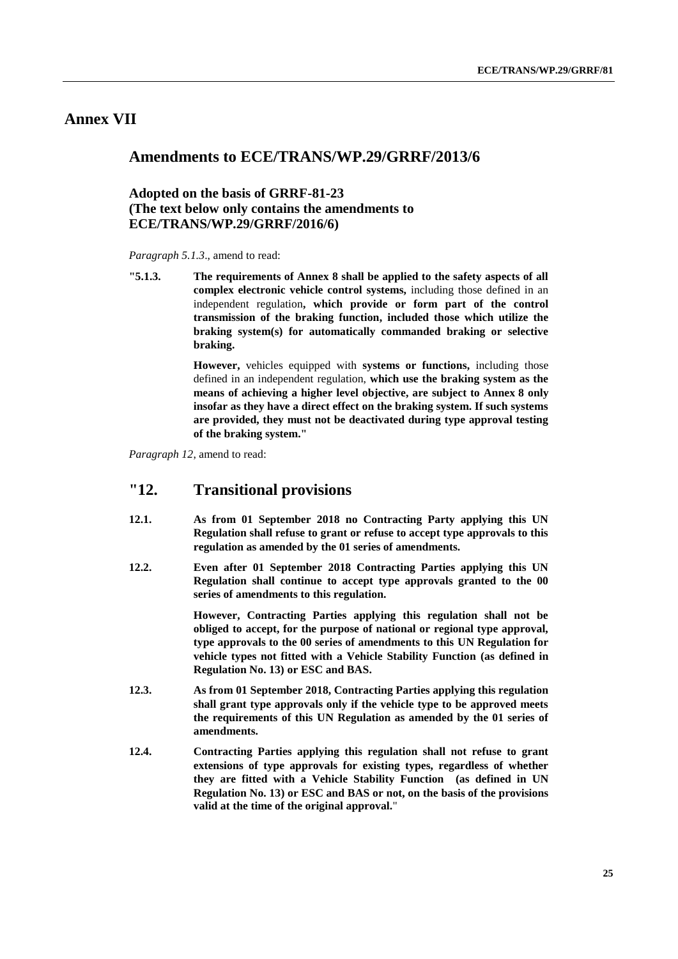# **Annex VII**

## **Amendments to ECE/TRANS/WP.29/GRRF/2013/6**

## **Adopted on the basis of GRRF-81-23 (The text below only contains the amendments to ECE/TRANS/WP.29/GRRF/2016/6)**

*Paragraph 5.1.3*., amend to read:

**"5.1.3. The requirements of Annex 8 shall be applied to the safety aspects of all complex electronic vehicle control systems,** including those defined in an independent regulation**, which provide or form part of the control transmission of the braking function, included those which utilize the braking system(s) for automatically commanded braking or selective braking.**

> **However,** vehicles equipped with **systems or functions,** including those defined in an independent regulation, **which use the braking system as the means of achieving a higher level objective, are subject to Annex 8 only insofar as they have a direct effect on the braking system. If such systems are provided, they must not be deactivated during type approval testing of the braking system."**

*Paragraph 12*, amend to read:

#### **"12. Transitional provisions**

- **12.1. As from 01 September 2018 no Contracting Party applying this UN Regulation shall refuse to grant or refuse to accept type approvals to this regulation as amended by the 01 series of amendments.**
- **12.2. Even after 01 September 2018 Contracting Parties applying this UN Regulation shall continue to accept type approvals granted to the 00 series of amendments to this regulation.**

**However, Contracting Parties applying this regulation shall not be obliged to accept, for the purpose of national or regional type approval, type approvals to the 00 series of amendments to this UN Regulation for vehicle types not fitted with a Vehicle Stability Function (as defined in Regulation No. 13) or ESC and BAS.**

- **12.3. As from 01 September 2018, Contracting Parties applying this regulation shall grant type approvals only if the vehicle type to be approved meets the requirements of this UN Regulation as amended by the 01 series of amendments.**
- **12.4. Contracting Parties applying this regulation shall not refuse to grant extensions of type approvals for existing types, regardless of whether they are fitted with a Vehicle Stability Function (as defined in UN Regulation No. 13) or ESC and BAS or not, on the basis of the provisions valid at the time of the original approval.**"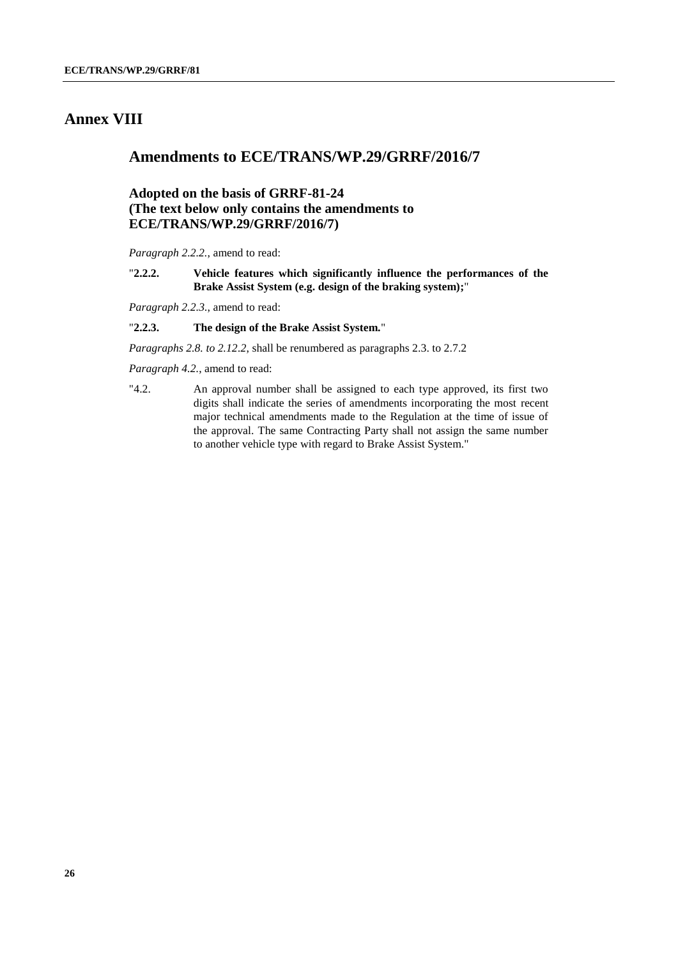# **Annex VIII**

## **Amendments to ECE/TRANS/WP.29/GRRF/2016/7**

## **Adopted on the basis of GRRF-81-24 (The text below only contains the amendments to ECE/TRANS/WP.29/GRRF/2016/7)**

*Paragraph 2.2.2.*, amend to read:

"**2.2.2. Vehicle features which significantly influence the performances of the Brake Assist System (e.g. design of the braking system);**"

*Paragraph 2.2.3.*, amend to read:

#### "**2.2.3. The design of the Brake Assist System.**"

*Paragraphs 2.8. to 2.12.2*, shall be renumbered as paragraphs 2.3. to 2.7.2

*Paragraph 4.2.*, amend to read:

"4.2. An approval number shall be assigned to each type approved, its first two digits shall indicate the series of amendments incorporating the most recent major technical amendments made to the Regulation at the time of issue of the approval. The same Contracting Party shall not assign the same number to another vehicle type with regard to Brake Assist System."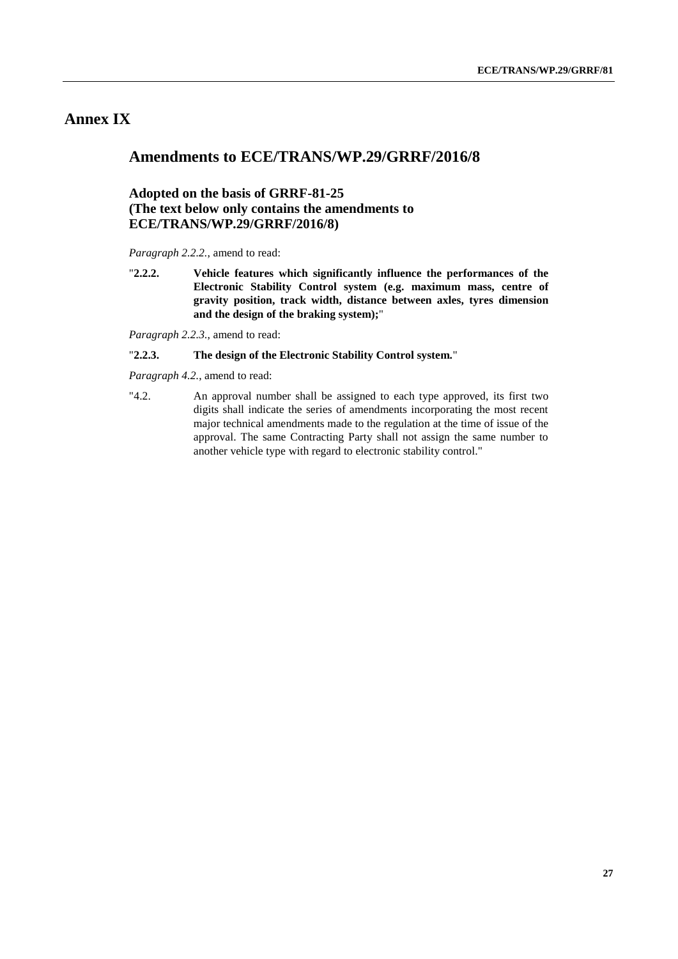# **Annex IX**

## **Amendments to ECE/TRANS/WP.29/GRRF/2016/8**

## **Adopted on the basis of GRRF-81-25 (The text below only contains the amendments to ECE/TRANS/WP.29/GRRF/2016/8)**

*Paragraph 2.2.2.*, amend to read:

"**2.2.2. Vehicle features which significantly influence the performances of the Electronic Stability Control system (e.g. maximum mass, centre of gravity position, track width, distance between axles, tyres dimension and the design of the braking system);**"

*Paragraph 2.2.3.*, amend to read:

#### "**2.2.3. The design of the Electronic Stability Control system.**"

*Paragraph 4.2.*, amend to read:

"4.2. An approval number shall be assigned to each type approved, its first two digits shall indicate the series of amendments incorporating the most recent major technical amendments made to the regulation at the time of issue of the approval. The same Contracting Party shall not assign the same number to another vehicle type with regard to electronic stability control."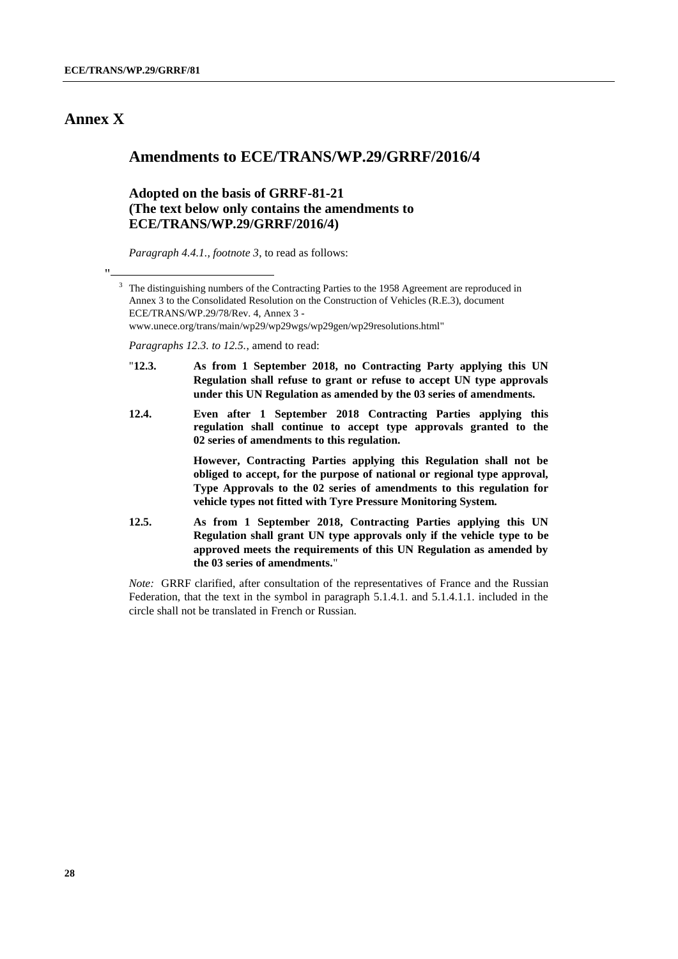# **Annex X**

"

## **Amendments to ECE/TRANS/WP.29/GRRF/2016/4**

## **Adopted on the basis of GRRF-81-21 (The text below only contains the amendments to ECE/TRANS/WP.29/GRRF/2016/4)**

*Paragraph 4.4.1., footnote 3*, to read as follows:

*Paragraphs 12.3. to 12.5.*, amend to read:

- "**12.3. As from 1 September 2018, no Contracting Party applying this UN Regulation shall refuse to grant or refuse to accept UN type approvals under this UN Regulation as amended by the 03 series of amendments.**
- **12.4. Even after 1 September 2018 Contracting Parties applying this regulation shall continue to accept type approvals granted to the 02 series of amendments to this regulation.**

**However, Contracting Parties applying this Regulation shall not be obliged to accept, for the purpose of national or regional type approval, Type Approvals to the 02 series of amendments to this regulation for vehicle types not fitted with Tyre Pressure Monitoring System.**

**12.5. As from 1 September 2018, Contracting Parties applying this UN Regulation shall grant UN type approvals only if the vehicle type to be approved meets the requirements of this UN Regulation as amended by the 03 series of amendments.**"

*Note:* GRRF clarified, after consultation of the representatives of France and the Russian Federation, that the text in the symbol in paragraph 5.1.4.1. and 5.1.4.1.1. included in the circle shall not be translated in French or Russian.

The distinguishing numbers of the Contracting Parties to the 1958 Agreement are reproduced in Annex 3 to the Consolidated Resolution on the Construction of Vehicles (R.E.3), document ECE/TRANS/WP.29/78/Rev. 4, Annex 3 www.unece.org/trans/main/wp29/wp29wgs/wp29gen/wp29resolutions.html"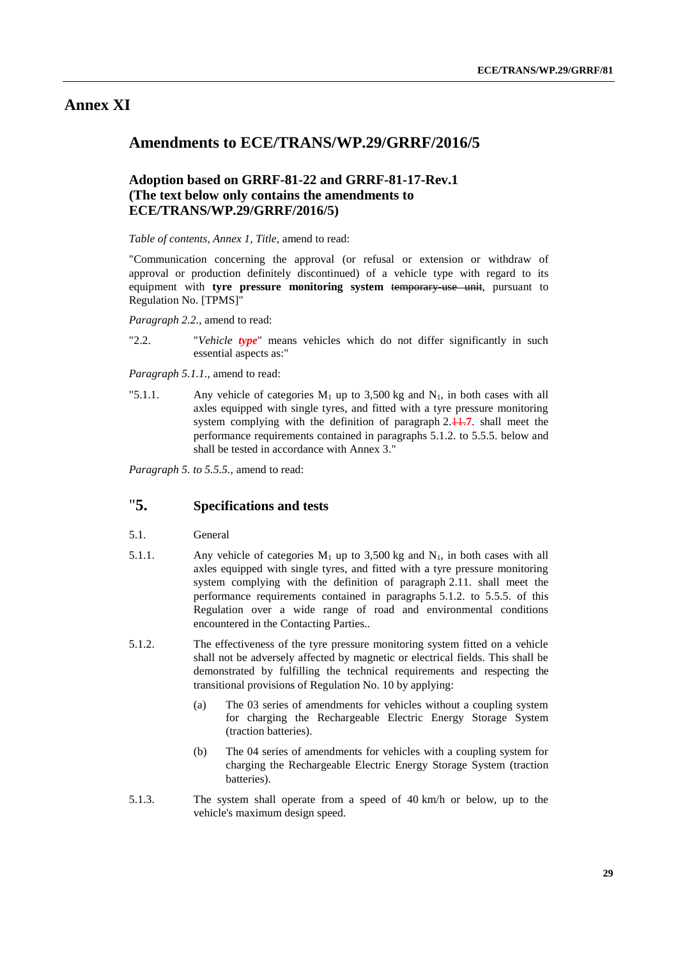## **Annex XI**

## **Amendments to ECE/TRANS/WP.29/GRRF/2016/5**

## **Adoption based on GRRF-81-22 and GRRF-81-17-Rev.1 (The text below only contains the amendments to ECE/TRANS/WP.29/GRRF/2016/5)**

#### *Table of contents, Annex 1, Title*, amend to read:

"Communication concerning the approval (or refusal or extension or withdraw of approval or production definitely discontinued) of a vehicle type with regard to its equipment with **tyre pressure monitoring system** temporary-use unit, pursuant to Regulation No. [TPMS]"

*Paragraph 2.2.*, amend to read:

"2.2. "*Vehicle type*" means vehicles which do not differ significantly in such essential aspects as:"

*Paragraph 5.1.1.*, amend to read:

"5.1.1. Any vehicle of categories  $M_1$  up to 3,500 kg and  $N_1$ , in both cases with all axles equipped with single tyres, and fitted with a tyre pressure monitoring system complying with the definition of paragraph 2.44.7, shall meet the performance requirements contained in paragraphs 5.1.2. to 5.5.5. below and shall be tested in accordance with Annex 3."

*Paragraph 5. to 5.5.5.,* amend to read:

# "**5. Specifications and tests**

- 5.1. General
- 5.1.1. Any vehicle of categories  $M_1$  up to 3,500 kg and  $N_1$ , in both cases with all axles equipped with single tyres, and fitted with a tyre pressure monitoring system complying with the definition of paragraph 2.11. shall meet the performance requirements contained in paragraphs 5.1.2. to 5.5.5. of this Regulation over a wide range of road and environmental conditions encountered in the Contacting Parties..
- 5.1.2. The effectiveness of the tyre pressure monitoring system fitted on a vehicle shall not be adversely affected by magnetic or electrical fields. This shall be demonstrated by fulfilling the technical requirements and respecting the transitional provisions of Regulation No. 10 by applying:
	- (a) The 03 series of amendments for vehicles without a coupling system for charging the Rechargeable Electric Energy Storage System (traction batteries).
	- (b) The 04 series of amendments for vehicles with a coupling system for charging the Rechargeable Electric Energy Storage System (traction batteries).
- 5.1.3. The system shall operate from a speed of 40 km/h or below, up to the vehicle's maximum design speed.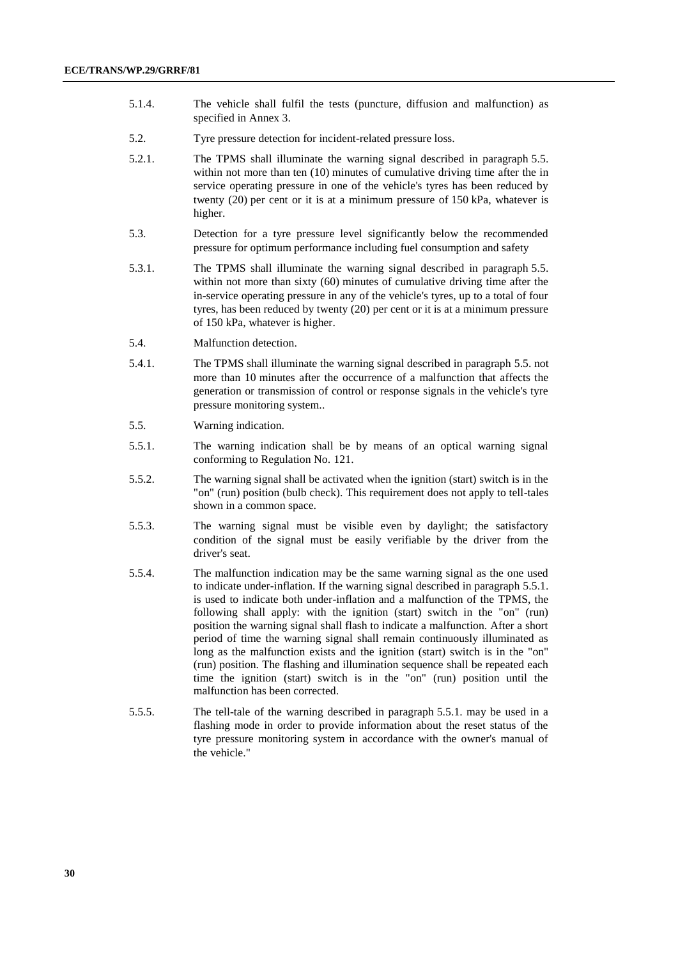- 5.1.4. The vehicle shall fulfil the tests (puncture, diffusion and malfunction) as specified in Annex 3.
- 5.2. Tyre pressure detection for incident-related pressure loss.
- 5.2.1. The TPMS shall illuminate the warning signal described in paragraph 5.5. within not more than ten (10) minutes of cumulative driving time after the in service operating pressure in one of the vehicle's tyres has been reduced by twenty (20) per cent or it is at a minimum pressure of 150 kPa, whatever is higher.
- 5.3. Detection for a tyre pressure level significantly below the recommended pressure for optimum performance including fuel consumption and safety
- 5.3.1. The TPMS shall illuminate the warning signal described in paragraph 5.5. within not more than sixty (60) minutes of cumulative driving time after the in-service operating pressure in any of the vehicle's tyres, up to a total of four tyres, has been reduced by twenty (20) per cent or it is at a minimum pressure of 150 kPa, whatever is higher.
- 5.4. Malfunction detection.
- 5.4.1. The TPMS shall illuminate the warning signal described in paragraph 5.5. not more than 10 minutes after the occurrence of a malfunction that affects the generation or transmission of control or response signals in the vehicle's tyre pressure monitoring system..
- 5.5. Warning indication.
- 5.5.1. The warning indication shall be by means of an optical warning signal conforming to Regulation No. 121.
- 5.5.2. The warning signal shall be activated when the ignition (start) switch is in the "on" (run) position (bulb check). This requirement does not apply to tell-tales shown in a common space.
- 5.5.3. The warning signal must be visible even by daylight; the satisfactory condition of the signal must be easily verifiable by the driver from the driver's seat.
- 5.5.4. The malfunction indication may be the same warning signal as the one used to indicate under-inflation. If the warning signal described in paragraph 5.5.1. is used to indicate both under-inflation and a malfunction of the TPMS, the following shall apply: with the ignition (start) switch in the "on" (run) position the warning signal shall flash to indicate a malfunction. After a short period of time the warning signal shall remain continuously illuminated as long as the malfunction exists and the ignition (start) switch is in the "on" (run) position. The flashing and illumination sequence shall be repeated each time the ignition (start) switch is in the "on" (run) position until the malfunction has been corrected.
- 5.5.5. The tell-tale of the warning described in paragraph 5.5.1. may be used in a flashing mode in order to provide information about the reset status of the tyre pressure monitoring system in accordance with the owner's manual of the vehicle."